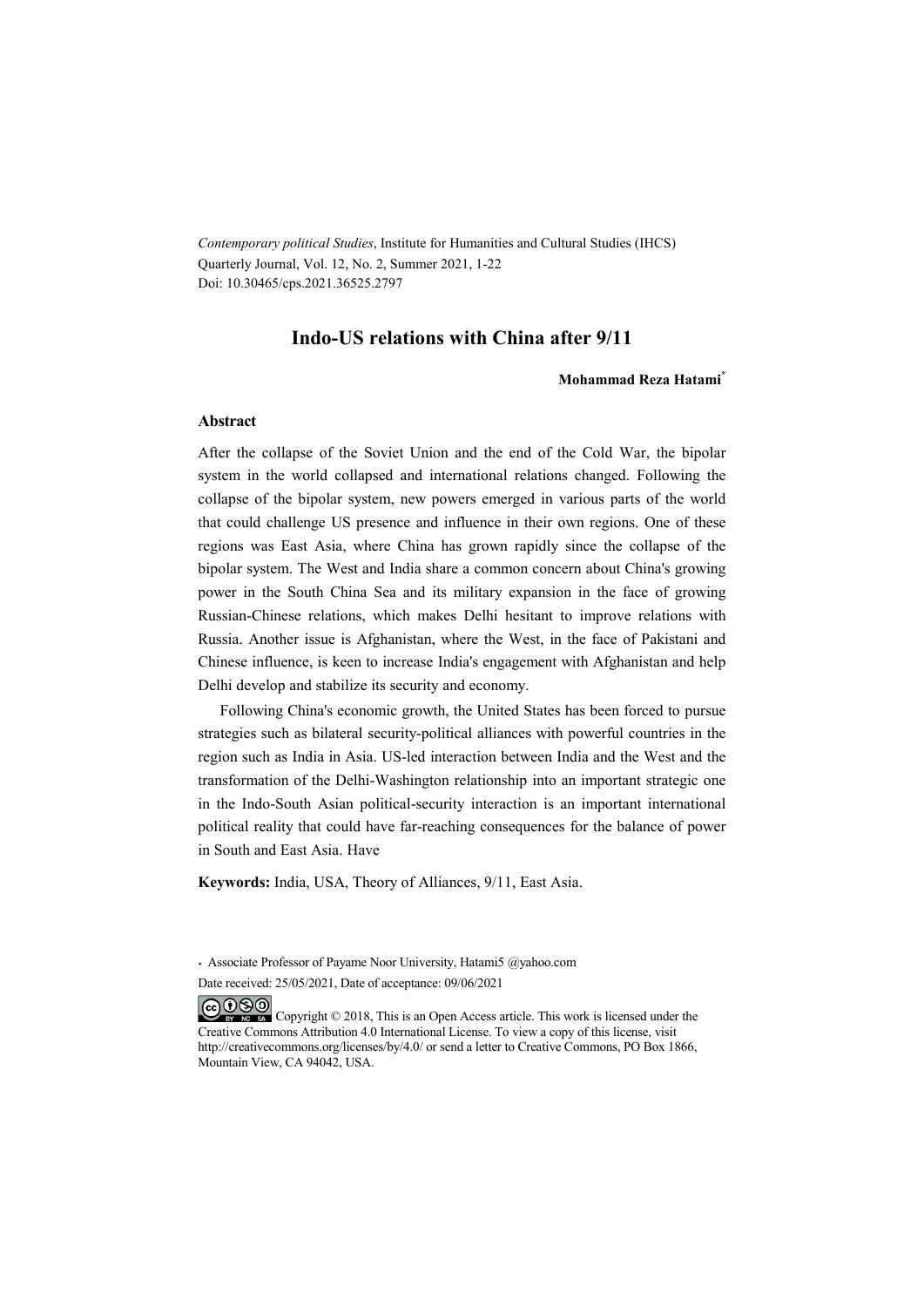*Contemporary political Studies*, Institute for Humanities and Cultural Studies (IHCS) Quarterly Journal, Vol. 12, No. 2, Summer 2021, 1-22 Doi: 10.30465/cps.2021.36525.2797

### **Indo-US relations with China after 9/11**

#### **Mohammad Reza Hatami\***

#### **Abstract**

After the collapse of the Soviet Union and the end of the Cold War, the bipolar system in the world collapsed and international relations changed. Following the collapse of the bipolar system, new powers emerged in various parts of the world that could challenge US presence and influence in their own regions. One of these regions was East Asia, where China has grown rapidly since the collapse of the bipolar system. The West and India share a common concern about China's growing power in the South China Sea and its military expansion in the face of growing Russian-Chinese relations, which makes Delhi hesitant to improve relations with Russia. Another issue is Afghanistan, where the West, in the face of Pakistani and Chinese influence, is keen to increase India's engagement with Afghanistan and help Delhi develop and stabilize its security and economy.

Following China's economic growth, the United States has been forced to pursue strategies such as bilateral security-political alliances with powerful countries in the region such as India in Asia. US-led interaction between India and the West and the transformation of the Delhi-Washington relationship into an important strategic one in the Indo-South Asian political-security interaction is an important international political reality that could have far-reaching consequences for the balance of power in South and East Asia. Have

**Keywords:** India, USA, Theory of Alliances, 9/11, East Asia.

\* Associate Professor of Payame Noor University, Hatami5 @yahoo.com

Date received: 25/05/2021, Date of acceptance: 09/06/2021

COOO Copyright © 2018, This is an Open Access article. This work is licensed under the Creative Commons Attribution 4.0 International License. To view a copy of this license, visit http://creativecommons.org/licenses/by/4.0/ or send a letter to Creative Commons, PO Box 1866, Mountain View, CA 94042, USA.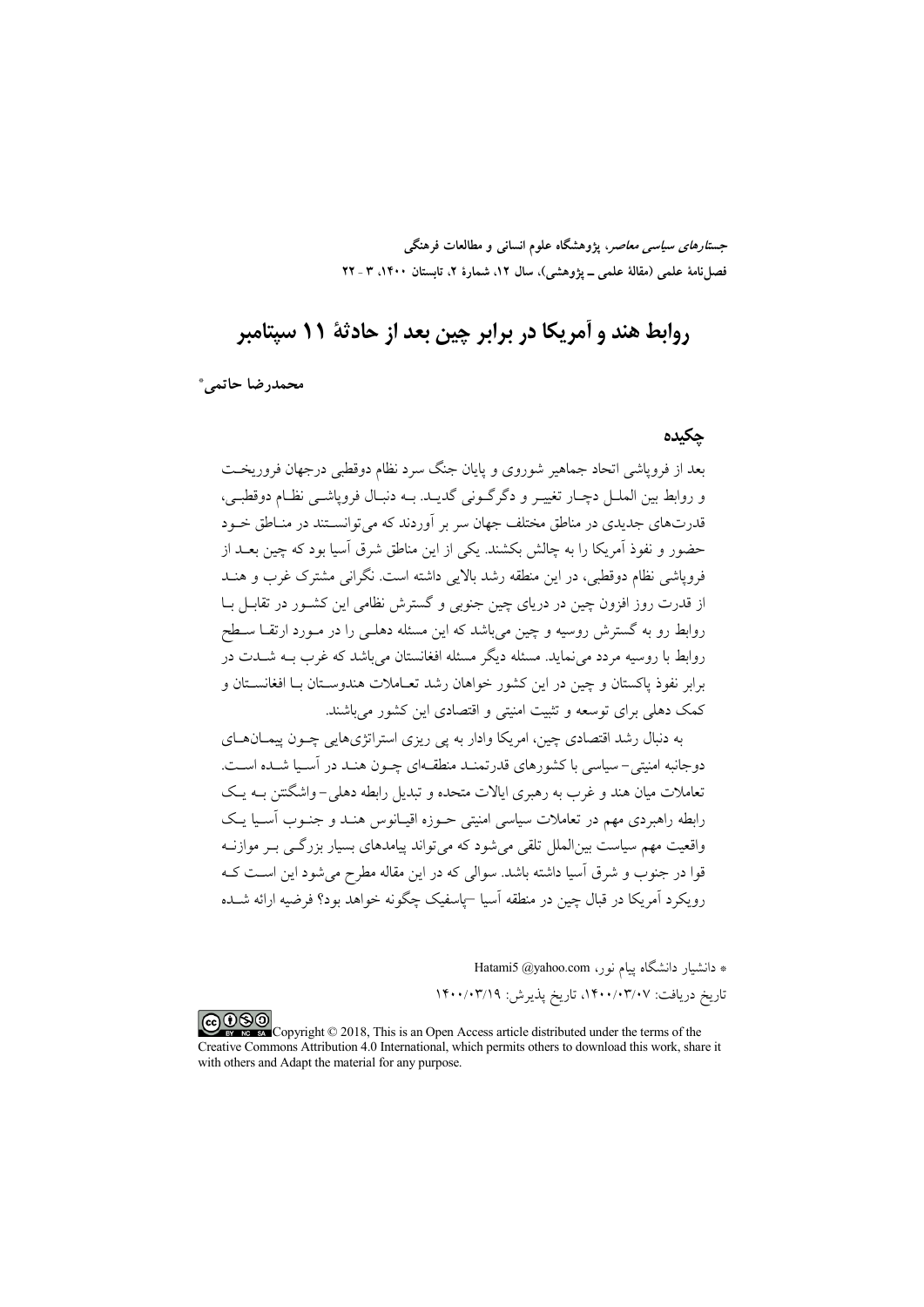جست*ارهای سیاسی معاصر*، پژوهشگاه علوم انسانی و مطالعات فرهنگی فصلنامهٔ علمی (مقالهٔ علمی ــ پژوهشی)، سال ۱۲، شمارهٔ ۲، تابستان ۱۴۰۰، ۳ ـ ۲۲

# روابط هند و آمریکا در برابر چین بعد از حادثهٔ ۱۱ بستامبر

محمدرضا حاتمي\*

### حكىدە

بعد از فرویاشی اتحاد جماهیر شوروی و پایان جنگ سرد نظام دوقطبی درجهان فروریخت و روابط بين الملـل دچـار تغييـر و دگرگـوني گديـد. بـه دنبـال فروياشــي نظـام دوقطبـي، .<br>قدرتهای جدیدی در مناطق مختلف جهان سر بر آوردند که می توانســتند در منــاطق خــود حضور و نفوذ آمریکا را به چالش بکشند. یکی از این مناطق شرق آسیا بود که چین بعــد از فرویاشی نظام دوقطبی، در این منطقه رشد بالایی داشته است. نگرانی مشترک غرب و هنــد از قدرت روز افزون چین در دریای چین جنوبی و گسترش نظامی این کشــور در تقابــل بــا روابط رو به گسترش روسیه و چین میباشد که این مسئله دهلـی را در مـورد ارتقــا ســطح روابط با روسیه مردد می نماید. مسئله دیگر مسئله افغانستان می باشد که غرب بــه شــدت در برابر نفوذ پاکستان و چین در این کشور خواهان رشد تعـاملات هندوسـتان بـا افغانسـتان و کمک دهلی برای توسعه و تثبیت امنیتی و اقتصادی این کشور می باشند.

به دنبال رشد اقتصادي چين، امريكا وادار به يي ريزي استراتژيهايي چــون پيمــانهــاي دوجانبه امنیتی-سیاسی با کشورهای قدرتمنـد منطقـهای چــون هنـد در آسـیا شــده اســت. تعاملات میان هند و غرب به رهبری ایالات متحده و تبدیل رابطه دهلی-واشگنتن بــه یـک رابطه راهبردی مهم در تعاملات سیاسی امنیتی حـوزه اقیـانوس هنـد و جنـوب آسـیا یـک واقعیت مهم سیاست بین|لملل تلقی میشود که میتواند پیامدهای بسیار بزرگــی بــر موازنــه قوا در جنوب و شرق آسیا داشته باشد. سوالی که در این مقاله مطرح میشود این است ک رویکرد آمریکا در قبال چین در منطقه آسیا –پاسفیک چگونه خواهد بود؟ فرضیه ارائه شــده

\* دانشيار دانشگاه ييام نور، Hatami5 @yahoo.com

تاريخ دريافت: ١۴٠٠/٠٣/٠٧، تاريخ پذيرش: ١۴٠٠/٠٣/١٩

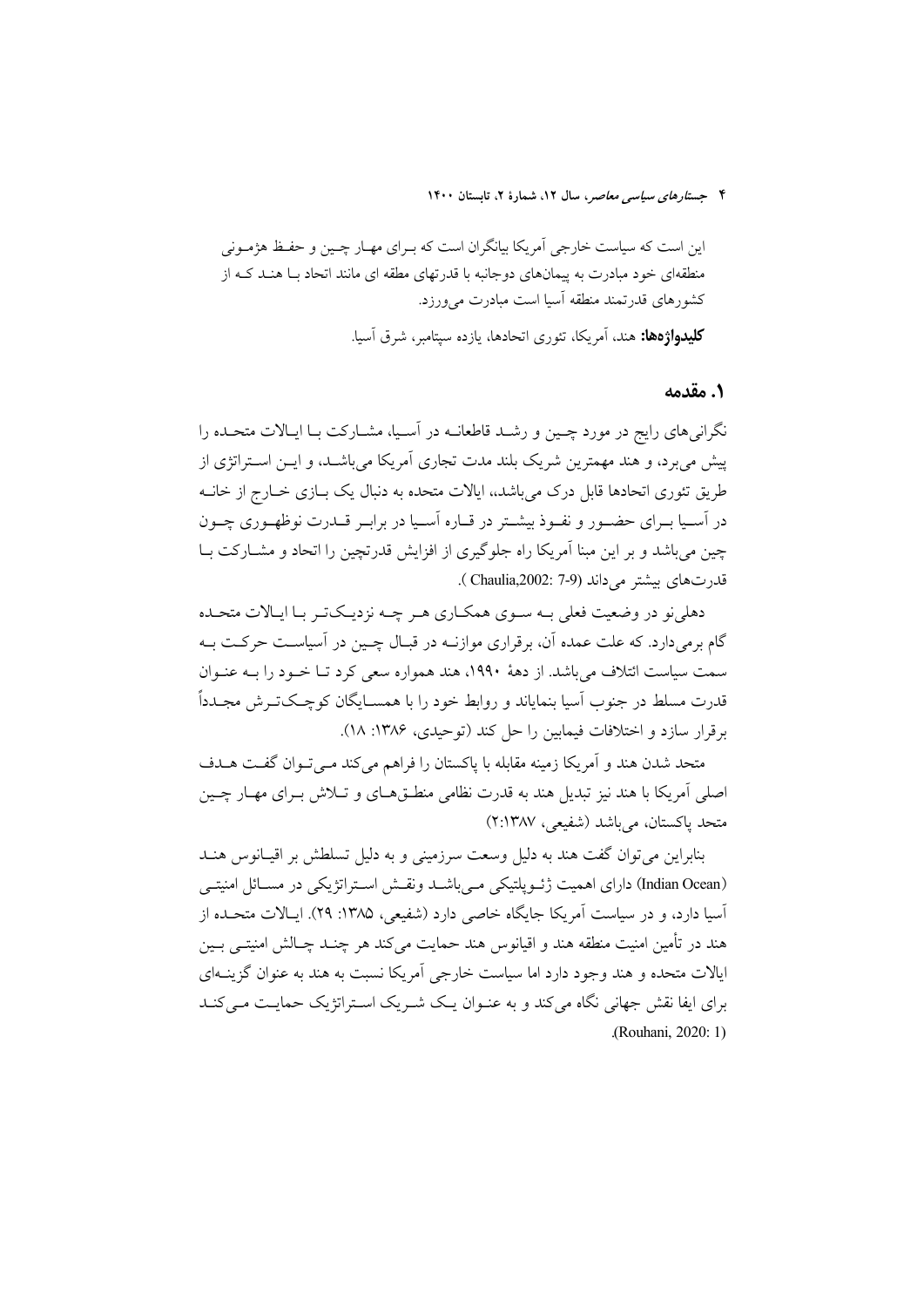این است که سیاست خارجی آمریکا بیانگران است که بـرای مهـار چـین و حفـظ هژمـونی منطقهای خود مبادرت به پیمانهای دوجانبه با قدرتهای مطقه ای مانند اتحاد بـا هنـد کـه از کشورهای قدرتمند منطقه آسیا است مبادرت می ورزد. **کلیدواژهها:** هند، آمریکا، تئوری اتحادها، یازده سپتامبر، شرق آسیا.

١. مقدمه

نگرانی های رایج در مورد چـین و رشـد قاطعانــه در اَسـیا، مشــارکت بــا ایــالات متحــده را پیش می برد، و هند مهمترین شریک بلند مدت تجاری آمریکا می باشـد، و ایــن اســتراتژی از طریق تئوری اتحادها قابل درک می باشد،، ایالات متحده به دنبال یک بــازی خــارج از خانــه در آسـبا بـرای حضـور و نفـوذ بیشـتر در قـاره آسـبا در برابـر قـدرت نوظهـوری چـون چین می باشد و بر این مبنا آمریکا راه جلوگیری از افزایش قدرتچین را اتحاد و مشــارکت بــا قدرتهاى بيشتر مى داند (Chaulia,2002: 7-9).

دهلی نو در وضعیت فعلی بــه ســوی همکــاری هــو چــه نزدیــکتــو بــا ایــالات متحــده گام برمی دارد. که علت عمده آن، برقراری موازنــه در قبــال چــین در آسیاسـت حرکــت بــه سمت سیاست ائتلاف می باشد. از دههٔ ۱۹۹۰، هند همواره سعی کرد تـا خــود را بــه عنــوان قدرت مسلط در جنوب اّسیا بنمایاند و روابط خود را با همســایگان کوچــکتــرش مجــدداً برقرار سازد و اختلافات فیمایین را حل کند (توحیدی، ۱۳۸۶: ۱۸).

متحد شدن هند و آمریکا زمینه مقابله با پاکستان را فراهم میکند مـیتـوان گفـت هـدف اصلي آمريکا با هند نيز تبديل هند به قدرت نظامي منطــقهــاي و تــلاش بــراي مهــار چــين متحد پاکستان، می باشد (شفیعی، ۲:۱۳۸۷)

بنابراین می توان گفت هند به دلیل وسعت سرزمینی و به دلیل تسلطش بر اقیـانوس هنـد (Indian Ocean) دارای اهمیت ژئــویلتیکی مــی;باشــد ونقــش اســتراتژیکی در مســائل امنیتــی آسیا دارد، و در سیاست آمریکا جایگاه خاصی دارد (شفیعی، ۱۳۸۵: ۲۹). ایـالات متحـده از هند در تأمين امنيت منطقه هند و اقيانوس هند حمايت مي كند هر چنــد چــالش امنيتــي بــين ایالات متحده و هند وجود دارد اما سیاست خارجی آمریکا نسبت به هند به عنوان گزینــهای برای ایفا نقش جهانی نگاه می کند و به عنـوان یـک شـریک اسـتراتژیک حمایـت مـی کنـد (Rouhani, 2020: 1)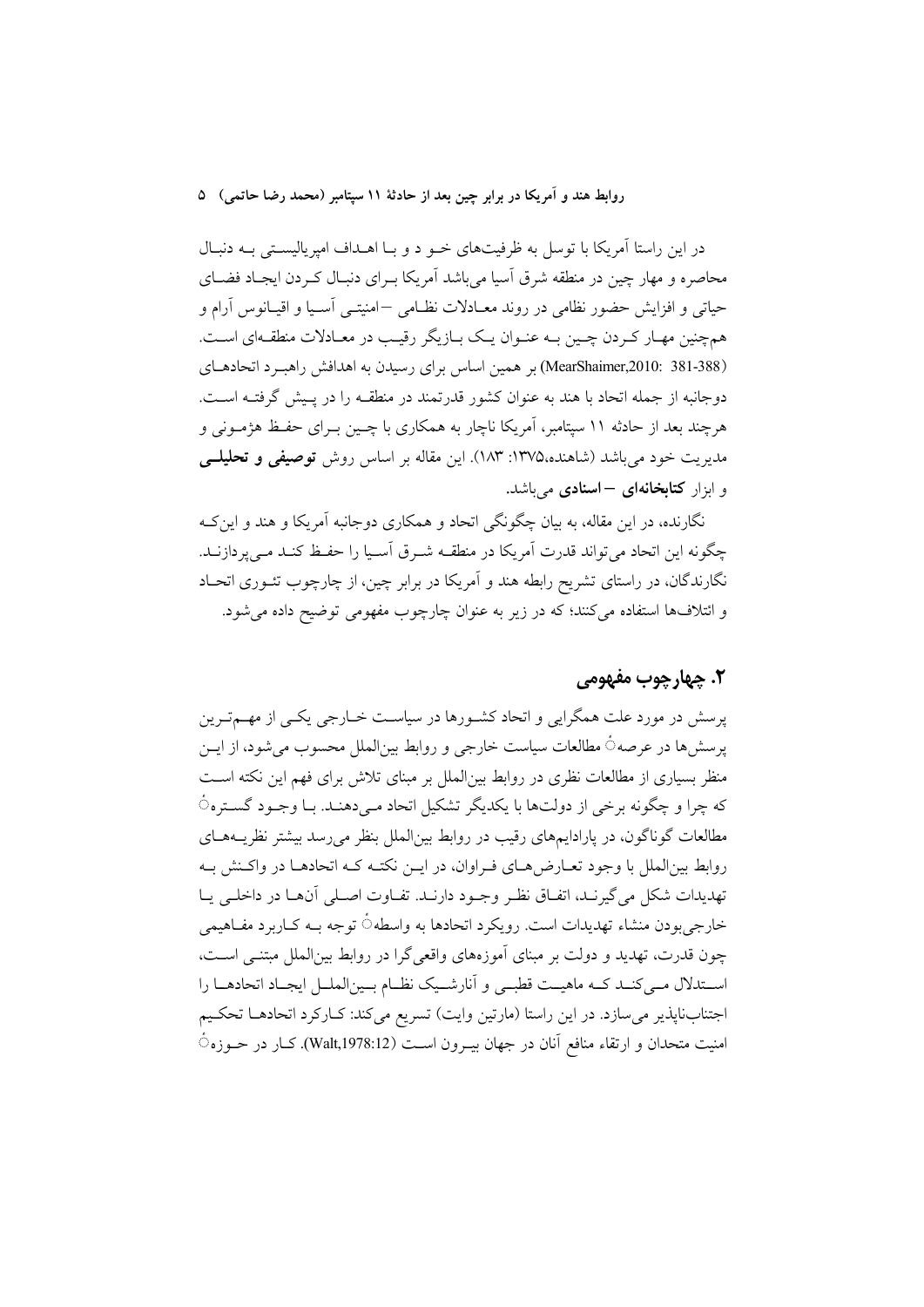در این راستا آمریکا با توسل به ظرفیتهای خـو د و بـا اهــداف امیریالیســتی بــه دنبـال محاصره و مهار چین در منطقه شرق آسیا میباشد آمریکا بـرای دنبـال کـردن ایجـاد فضـای حیاتی و افزایش حضور نظامی در روند معـادلات نظـامی –امنیتــی آسـیا و اقیـانوس آرام و همچنین مهـار کـردن چـین بـه عنـوان یـک بـازیگر رقیـب در معـادلات منطقـهای اسـت. (MearShaimer,2010: 381-388) بر همین اساس برای رسیدن به اهدافش راهب د اتحادهای دوجانبه از جمله اتحاد با هند به عنوان کشور قدرتمند در منطقـه را در پـیش گرفتـه اسـت. هرچند بعد از حادثه ۱۱ سپتامبر، آمریکا ناچار به همکاری با چـین بــرای حفـظ هژمــونی و مدیریت خود می باشد (شاهنده،۱۳۷۵: ۱۸۳). این مقاله بر اساس روش توصیفی و تحلیلــی و ابزار **کتابخانهای –اسنادی** می باشد.

نگارنده، در این مقاله، به بیان چگونگی اتحاد و همکاری دوجانبه آمریکا و هند و این ک چگونه این اتحاد می تواند قدرت آمریکا در منطقــه شــرق آســیا را حفــظ کنــد مــی پردازنــد. نگارندگان، در راستای تشریح رابطه هند و اَمریکا در برابر چین، از چارچوب تئــوری اتحــاد و ائتلافها استفاده می کنند؛ که در زیر به عنوان چارچوب مفهومی توضیح داده می شود.

## ٢. ڇهارچوب مفهومي

پرسش در مورد علت همگرایی و اتحاد کشـورها در سیاسـت خــارجی یکــی از مهــمتـرین يرسشها در عرصه٥ً مطالعات سياست خارجي و روابط بين|لملل محسوب مي شود، از ايــن منظر بسیاری از مطالعات نظری در روابط بین|لملل بر مبنای تلاش برای فهم این نکته اسـت که چرا و چگونه برخی از دولتها با یکدیگر تشکیل اتحاد مے دهنـد. بـا وجـود گسـتره ً مطالعات گوناگون، در پارادایمهای رقیب در روابط بین|لملل بنظر می رسد بیشتر نظریــههــای روابط بین|لملل با وجود تعـارض هـای فـراوان، در ایــن نکتـه کــه اتحادهــا در واکــنش بــه تهديدات شكل مي گيرنـد، اتفـاق نظـر وجـود دارنـد. تفـاوت اصـلى آنهـا در داخلـي يـا خارجي بودن منشاء تهديدات است. رويكرد اتحادها به واسطهتَ توجه بــه كــاربرد مفــاهيمي چون قدرت، تهدید و دولت بر مبنای آموزههای واقعیگرا در روابط بینالملل مبتنـی اسـت، استدلال مبي كنــد كــه ماهيــت قطبــي و أنارشــيك نظــام بــين|لملــل ايجــاد اتحادهــا را اجتنابناپذیر می سازد. در این راستا (مارتین وایت) تسریع میکند: کـارکرد اتحادهـا تحکـیم امنیت متحدان و ارتقاء منافع آنان در جهان بیـرون اسـت (Walt,1978:12). کــار در حــوزه ُ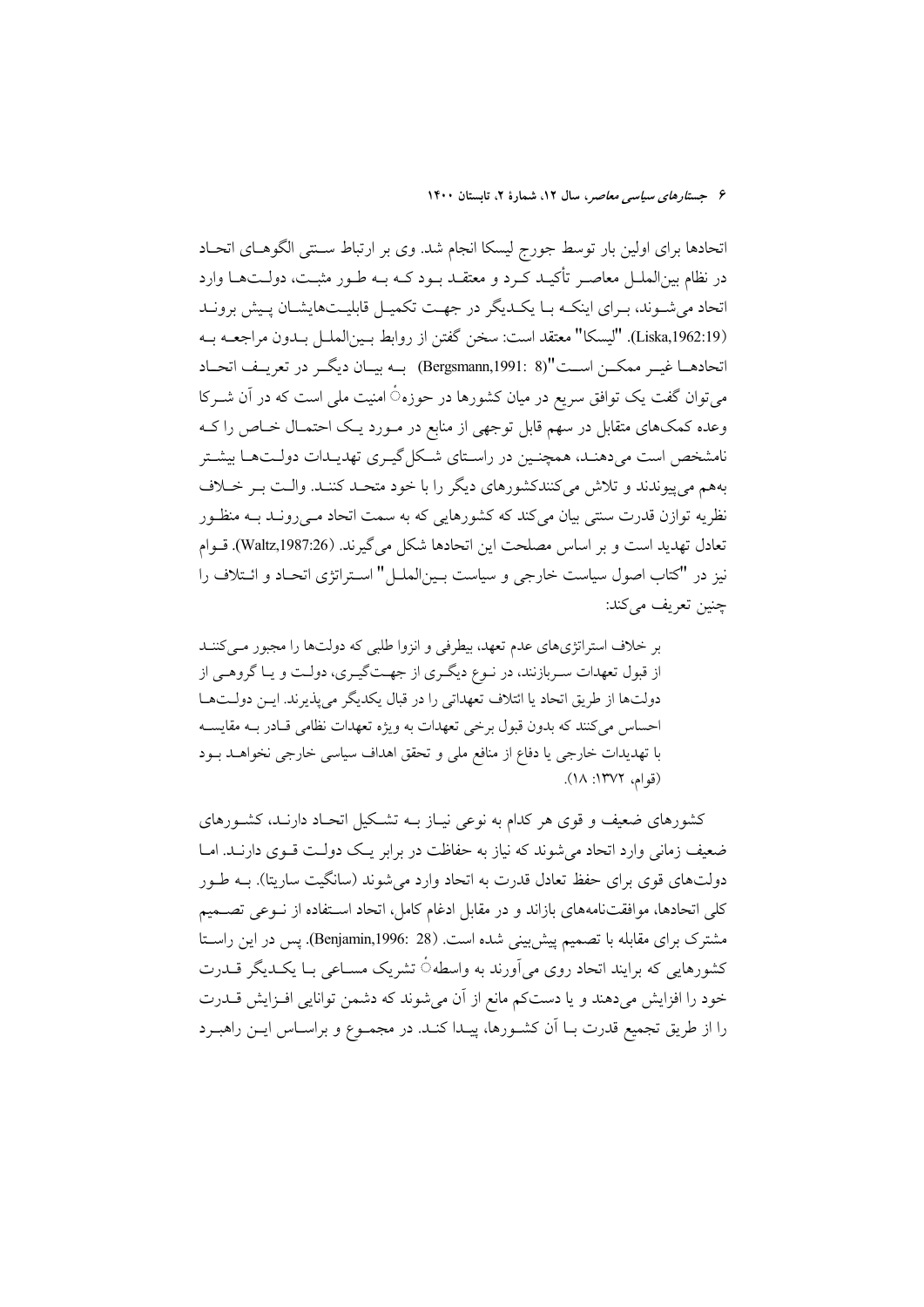اتحادها برای اولین بار توسط جورج لیسکا انجام شد. وی بر ارتباط سـنتی الگوهـای اتحـاد در نظام بین|لملـل معاصـر تأکیـد کـرد و معتقـد بـود کــه بــه طـور مثبــت، دولــتهــا وارد اتحاد می شوند، بـرای اینکـه بـا یکـدیگر در جهـت تکمیـل قابلیـتهایشـان پـیش برونـد (Liska,1962:19). "ليسكا" معتقد است: سخن گفتن از روابط بـينالملــل بــدون مراجعــه بــه اتحادهــا غيــر ممكــن اســت"(8 :Bergsmann,1991) بــه بيــان ديگــر در تعريــف اتحــاد میتوان گفت یک توافق سریع در میان کشورها در حوزهٔ امنیت ملی است که در آن شــرکا وعده کمکهای متقابل در سهم قابل توجهی از منابع در مـورد یـک احتمـال خـاص را کـه نامشخص است می دهنـد، همچنـین در راسـتای شـکل گیـری تهدیـدات دولـتهـا بیشـتر بههم می پیوندند و تلاش میکنندکشورهای دیگر را با خود متحـد کننـد. والـت بـر خـلاف نظریه توازن قدرت سنتی بیان می کند که کشورهایی که به سمت اتحاد مـبی رونــد بــه منظــور تعادل تهديد است و بر اساس مصلحت اين اتحادها شكل مي گيرند. (Waltz,1987:26). قـوام نیز در "کتاب اصول سیاست خارجی و سیاست بسین(لملس)" استراتژی اتحـاد و ائــتلاف را چنین تعریف مے کند:

بر خلاف استراتژیهای عدم تعهد، بیطرفی و انزوا طلبی که دولتها را مجبور می کننـد از قبول تعهدات سـربازنند، در نـوع ديگـري از جهـتگيـري، دولـت و يـا گروهـي از دولتها از طريق اتحاد يا ائتلاف تعهداتي را در قبال يكديگر مي يذيرند. ايـن دولـتهـا احساس میکنند که بدون قبول برخی تعهدات به ویژه تعهدات نظامی قـادر بـه مقایسـه با تهدیدات خارجی یا دفاع از منافع ملی و تحقق اهداف سیاسی خارجی نخواهـد بـود (قوام، ١٣٧٢: ١٨).

کشورهای ضعیف و قوی هر کدام به نوعی نیـاز بــه تشــکیل اتحــاد دارنــد، کشــورهای ضعیف زمانی وارد اتحاد می شوند که نیاز به حفاظت در برابر یـک دولـت قــوی دارنــد. امــا دولتهای قوی برای حفظ تعادل قدرت به اتحاد وارد می شوند (سانگیت ساریتا). بــه طــور كلي اتحادها، موافقتنامههاي بازاند و در مقابل ادغام كامل، اتحاد اسـتفاده از نــوعي تصــميم مشترک برای مقابله با تصمیم پیش بینی شده است. (Benjamin,1996: 28). پس در این راستا کشورهایی که برایند اتحاد روی میآورند به واسطه ٔ تشریک مسـاعی بـا یکـدیگر قــدرت خود را افزایش میدهند و یا دستکم مانع از آن میشوند که دشمن توانایی افزایش قلدرت را از طريق تجميع قدرت بــا اَن كشــورها، پيــدا كنــد. در مجمــوع و براســاس ايــن راهبــرد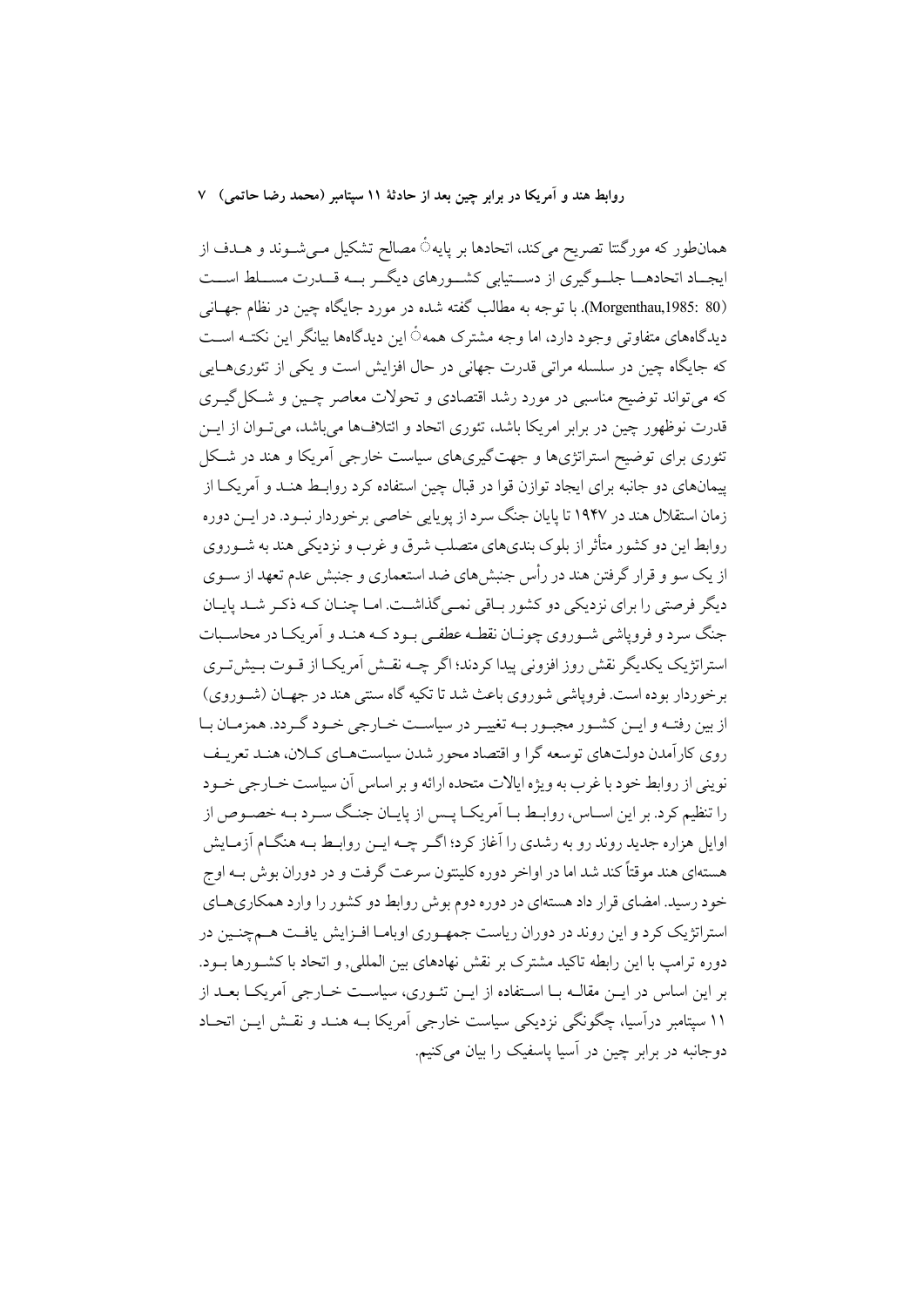همانطور که مورگنتا تصریح میکند، اتحادها بر پایه۞ مصالح تشکیل مـیشــوند و هــدف از ایجـاد اتحادهــا جلــوگیری از دســتیابی کشــورهای دیگــر بــه قــدرت مســلط اســت (Morgenthau,1985: 80). با توجه به مطالب گفته شده در مورد جایگاه چین در نظام جهـانی دیدگاههای متفاوتی وجود دارد، اما وجه مشترک همه٥ُ این دیدگاهها بیانگر این نکتــه اســت که جایگاه چین در سلسله مراتی قدرت جهانی در حال افزایش است و یکی از تئوری هایی که میتواند توضیح مناسبی در مورد رشد اقتصادی و تحولات معاصر چـین و شـکل گیـری قدرت نوظهور چین در برابر امریکا باشد، تئوری اتحاد و ائتلافها میباشد، میتوان از ایــن تئوري براي توضيح استراتژيها و جهت گيريهاي سياست خارجي آمريکا و هند در شـکل پیمانهای دو جانبه برای ایجاد توازن قوا در قبال چین استفاده کرد روابط هنـد و آمریکـا از زمان استقلال هند در ۱۹۴۷ تا پایان جنگ سرد از یوپایی خاصی برخوردار نسود. در ایــن دوره روابط این دو کشور متأثر از بلوک بندیهای متصلب شرق و غرب و نزدیکی هند به شــوروی از یک سو و قرار گرفتن هند در رأس جنش های ضد استعماری و جنش عدم تعهد از سـوی دیگر فرصتی را برای نزدیکی دو کشور بیاقی نمبی گذاشت. امیا چنیان کیه ذکیر شید پاییان جنگ سرد و فروپاشی شـوروی چونـان نقطـه عطفـی بـود کـه هنـد و اَمريکـا در محاسـبات استراتژیک یکدیگر نقش روز افزونی پیدا کردند؛ اگر چــه نقــش اَمریکــا از قــوت بــیش تــری برخوردار بوده است. فروپاشی شوروی باعث شد تا تکیه گاه سنتی هند در جهـان (شـوروی) ازبین رفتـه و ایـن کشـور مجبـور بـه تغییـر در سیاسـت خـارجی خـود گـردد. همزمـان بـا روی کارآمدن دولتهای توسعه گرا و اقتصاد محور شدن سیاستهای کلان، هند تعریف نوینی از روابط خود با غرب به ویژه ایالات متحده ارائه و بر اساس آن سیاست خبارجی خبود را تنظیم کرد. بر این اسـاس، روابـط بــا اَمریکــا پــس از پایــان جنــگ ســرد بــه خصــوص از اوایل هزاره جدید روند رو به رشدی را آغاز کرد؛ اگـر چــه ایــن روابـط بــه هنگــام آزمــایش هستهای هند موقتاً کند شد اما در اواخر دوره کلینتون سرعت گرفت و در دوران بوش بــه اوج خود رسید. امضای قرار داد هستهای در دوره دوم بوش روابط دو کشور را وارد همکاریهـای استراتژیک کرد و این روند در دوران ریاست جمه وری اوبامـا افـزایش یافـت هـمچنـین در دوره ترامپ با این رابطه تاکید مشترک بر نقش نهادهای بین المللی, و اتحاد با کشـورها بــود. بر این اساس در ایــن مقالــه بــا اســتفاده از ایــن تئــوری، سیاســت خــارجی آمریکــا بعــد از ۱۱ سپتامبر درآسیا، چگونگی نزدیکی سیاست خارجی آمریکا بــه هنــد و نقــش ایــن اتحــاد دوجانبه در برابر چین در آسیا یاسفیک را بیان میکنیم.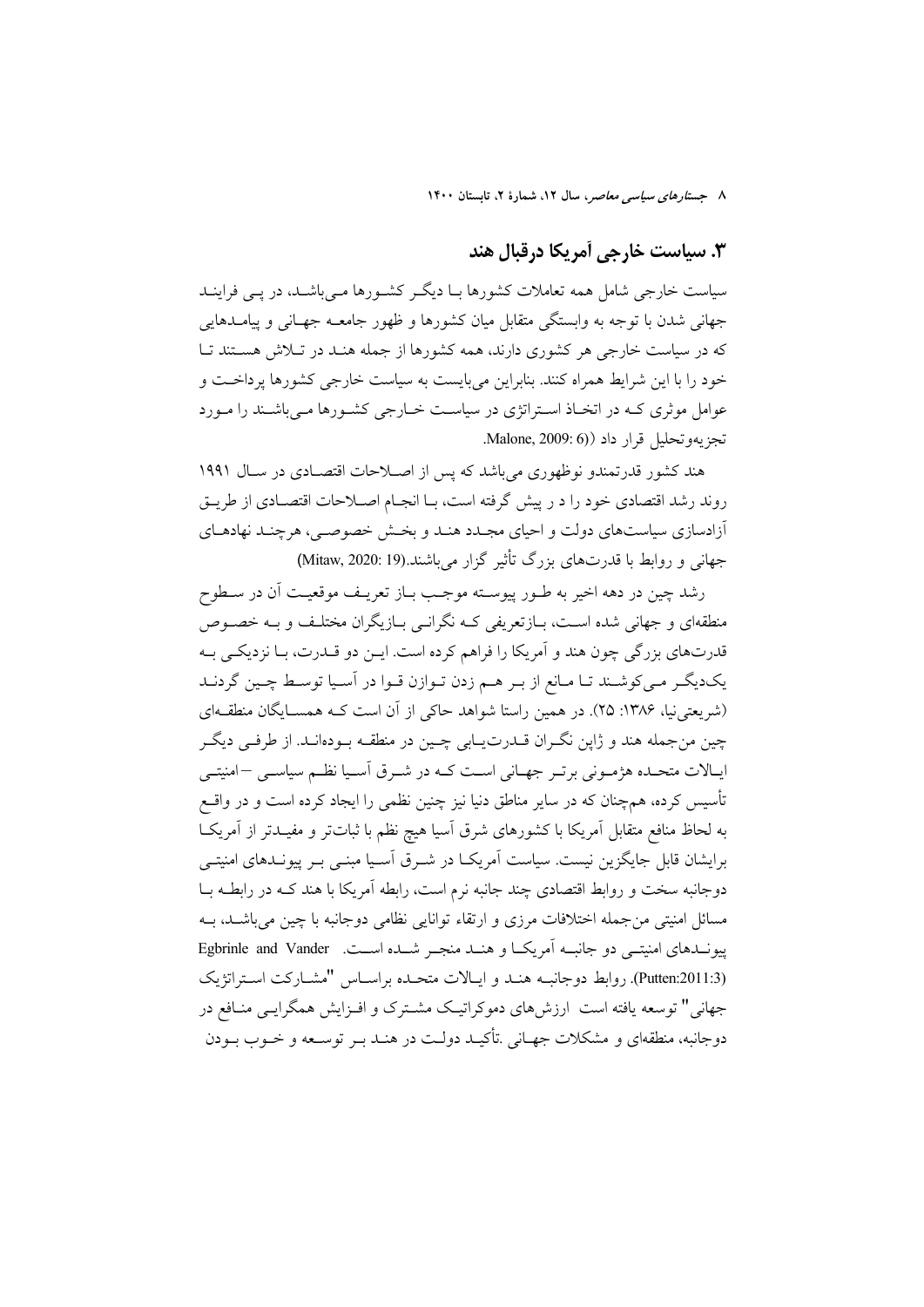## ٣. سياست خارجي آمريكا درقبال هند

سیاست خارجی شامل همه تعاملات کشورها بـا دیگـر کشـورها مـیباشـد، در پـی فراینـد جهانی شدن با توجه به وابستگی متقابل میان کشورها و ظهور جامعــه جهــانی و پیامــدهایی که در سیاست خارجی هر کشوری دارند، همه کشورها از جمله هنـد در تـلاش هسـتند تـا خود را با این شرایط همراه کنند. بنابراین می بایست به سیاست خارجی کشورها پرداخت و عوامل موثری کـه در اتخـاذ اسـتراتژی در سیاسـت خـارجی کشـورها مـی،باشـند را مـورد تجزيهوتحليل قرار داد Malone, 2009: 6).

هند کشور قدرتمندو نوظهوری می باشد که پس از اصـلاحات اقتصـادی در سـال ۱۹۹۱ روند رشد اقتصادی خود را د ر پیش گرفته است، بـا انجـام اصـلاحات اقتصـادی از طریــق أزادسازي سياستهاي دولت و احياي مجـدد هنـد و بخـش خصوصـي، هرچنـد نهادهـاي جهانی و روابط با قدرتهای بزرگ تأثیر گزار می باشند.(19 Mitaw, 2020: 19)

رشد چين در دهه اخير به طـور پيوسـته موجـب بـاز تعريـف موقعيـت أن در سـطوح منطقهای و جهانی شده است، بـازتعریفی کـه نگرانـی بـازیگران مختلـف و بـه خصـوص قدرتهاي بزرگي چون هند و اَمريكا را فراهم كرده است. ايــن دو قــدرت، بــا نزديكــي بــه یکدیگر می کوشـند تـا مـانع از بـر هـم زدن تـوازن قـوا در آسـیا توسـط چـین گردنـد (شریعتی نیا، ۱۳۸۶: ۲۵). در همین راستا شواهد حاکی از آن است کـه همســایگان منطقــهای چین منجمله هند و ژاپن نگـران قـدرتیـابی چـین در منطقـه بـودهانـد. از طرفـی دیگـر ایـالات متحـده هژمـونی برتـر جهـانی اسـت کـه در شـرق آسـیا نظـم سیاسـی –امنیتـی تأسیس کرده، همچنان که در سایر مناطق دنیا نیز چنین نظمی را ایجاد کرده است و در واقــع به لحاظ منافع متقابل آمريكا با كشورهاى شرق آسيا هيچ نظم با ثباتتر و مفيـدتر از آمريكــا برایشان قابل جایگزین نیست. سیاست آمریکـا در شــرق آسـیا مبنــی بــر پیونــدهای امنیتــی دوجانبه سخت و روابط اقتصادی چند جانبه نرم است، رابطه آمریکا با هند کـه در رابطـه بــا مسائل امنیتی من جمله اختلافات مرزی و ارتقاء توانایی نظامی دوجانبه با چین می باشــد، بــه پیونــدهای امنیتــی دو جانبــه آمریکــا و هنــد منجــر شــده اســت. Egbrinle and Vander (Putten:2011:3). روابط دوجانبـه هنـد و ايـالات متحـده براسـاس "مشـاركت اسـتراتژيک جهانی" توسعه یافته است ارزشهای دموکراتیک مشـترک و افـزایش همگرایـی منـافع در دوجانبه، منطقهای و مشکلات جهـانی .تأکیـد دولـت در هنـد بـر توسـعه و خـوب بـودن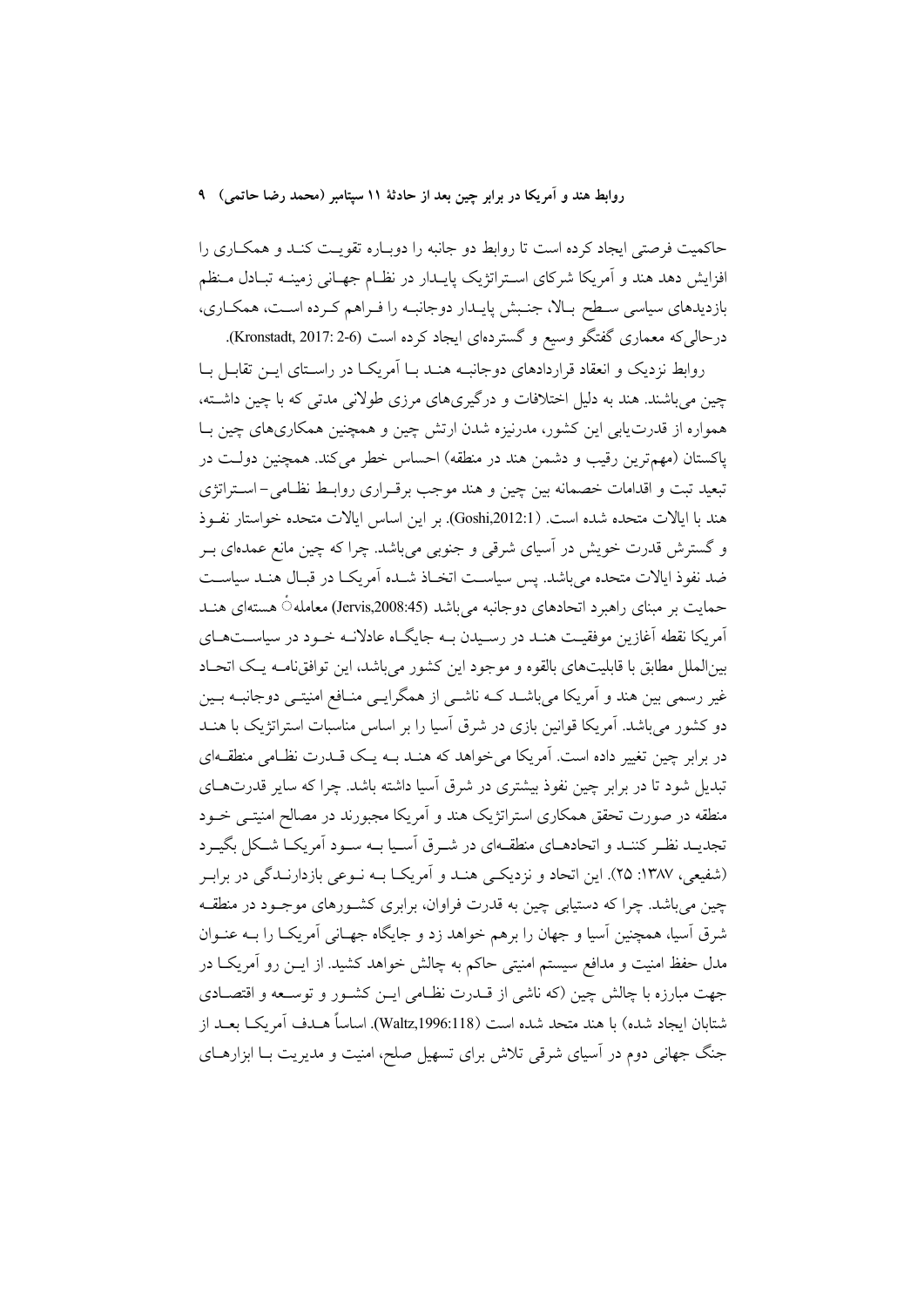حاکمیت فرصتی ایجاد کرده است تا روابط دو جانبه را دوباره تقویت کنـد و همکـاری را افزایش دهد هند و اَمریکا شرکای اسـتراتژیک پایــدار در نظــام جهــانی زمینــه تبــادل مــنظم بازدیدهای سیاسی سطح بالا، جنبش پایـدار دوجانبـه را فـراهم كـرده اسـت، همكـاري، درحالی که معماری گفتگو وسیع و گستردهای ایجاد کرده است (Kronstadt, 2017: 2-6).

روابط نزدیک و انعقاد قراردادهای دوجانبـه هنـد بـا اَمریکـا در راسـتای ایــن تقابــل بــا چین می باشند. هند به دلیل اختلافات و درگیریهای مرزی طولانی مدتی که با چین داشته، همواره از قدرت یابی این کشور، مدرنیزه شدن ارتش چین و همچنین همکاریهای چین بـا پاکستان (مهم ترین رقیب و دشمن هند در منطقه) احساس خطر میکند. همچنین دولت در تبعید تبت و اقدامات خصمانه بین چین و هند موجب برقـراری روابـط نظـامی-اسـتراتژی هند با ابالات متحده شده است. (Goshi,2012:1). بو این اساس ابالات متحده خواستار نفسوذ و گسترش قدرت خویش در آسیای شرقی و جنوبی میباشد. چرا که چین مانع عمدهای بـر ضد نفوذ ايالات متحده مي باشد. پس سياسـت اتخـاذ شـده آمريكـا در قبـال هنـد سياسـت حمایت بر مبنای راهبرد اتحادهای دوجانبه میباشد (Jervis,2008:45) معامله ٔ هستهای هنـد آمریکا نقطه آغازین موفقیت هنـد در رسـیدن بـه جایگـاه عادلانـه خـود در سیاسـتهـای بینالملل مطابق با قابلیتهای بالقوه و موجود این کشور میباشد، این توافق نامـه یـک اتحـاد غیر رسمی بین هند و آمریکا میباشـد کـه ناشـی از همگرایـی منـافع امنیتـی دوجانبـه بـین دو کشور می باشد. آمریکا قوانین بازی در شرق آسیا را بر اساس مناسبات استراتژیک با هنــد در برابر چین تغییر داده است. آمریکا می خواهد که هنـد بــه یــک قــدرت نظــامی منطقــهای تبدیل شود تا در برابر چین نفوذ بیشتری در شرق آسیا داشته باشد. چرا که سایر قدرتهـای منطقه در صورت تحقق همکاری استراتژیک هند و آمریکا مجبورند در مصالح امنیتــی خــود تجدیــد نظـر کننــد و اتحادهــای منطقــهای در شــرق اَســیا بــه ســود اَمریکــا شــکل بگیــرد (شفیعی، ۱۳۸۷: ۲۵). این اتحاد و نزدیکی هنـد و اَمریکـا بـه نـوعی بازدارنـدگی در برابـر چین میباشد. چرا که دستیابی چین به قدرت فراوان، برابری کشـورهای موجـود در منطقـه شرق آسیا، همچنین آسیا و جهان را برهم خواهد زد و جایگاه جهـانی آمریکـا را بــه عنــوان مدل حفظ امنیت و مدافع سیستم امنیتی حاکم به چالش خواهد کشید. از ایــن رو آمریکــا در جهت مبارزه با چالش چین (که ناشی از قــدرت نظــامی ایــن کشــور و توســعه و اقتصــادی شتابان ايجاد شده) با هند متحد شده است (Waltz,1996:118). اساساً هــدف اَمريكــا بعــد از جنگ جهانی دوم در آسیای شرقی تلاش برای تسهیل صلح، امنیت و مدیریت بـا ابزارهـای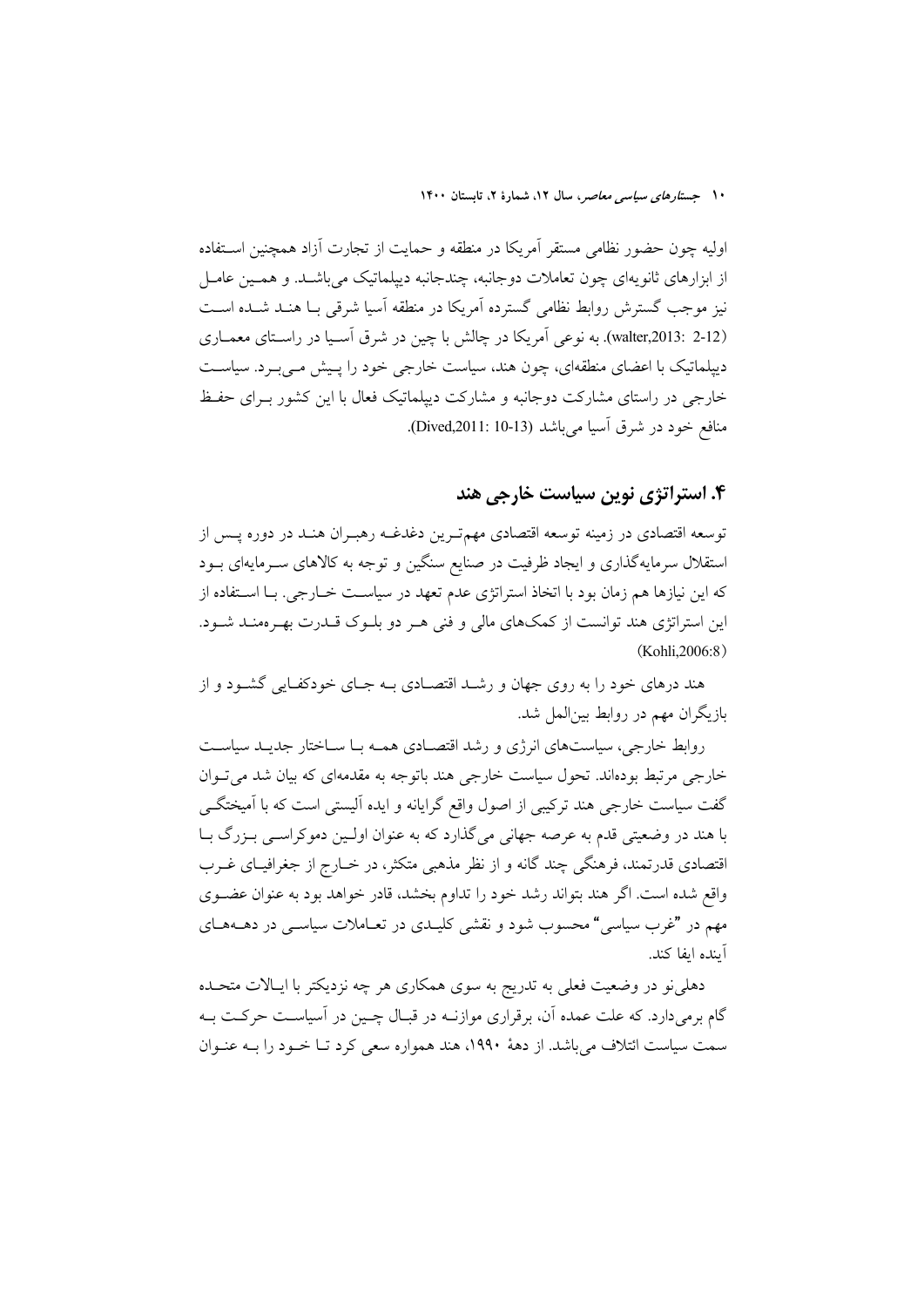اولیه چون حضور نظامی مستقر آمریکا در منطقه و حمایت از تجارت آزاد همچنین اسـتفاده از ابزارهای ثانویهای چون تعاملات دوجانبه، چندجانبه دیپلماتیک می باشـد. و همـین عامـل نیز موجب گسترش روابط نظامی گسترده آمریکا در منطقه آسیا شرقی بـا هنـد شـده اسـت (walter,2013: 2-12). به نوعی اَمریکا در چالش با چین در شرق اَسـیا در راسـتای معمــاری دییلماتیک با اعضای منطقهای، چون هند، سیاست خارجی خود را پـیش مـیبـرد. سیاسـت خارجی در راستای مشارکت دوجانبه و مشارکت دیپلماتیک فعال با این کشور بـرای حفـظ منافع خود در شرق آسیا میباشد (Dived,2011: 10-13).

#### ۴. استراتژی نوین سیاست خارجی هند

توسعه اقتصادی در زمینه توسعه اقتصادی مهمتـرین دغدغـه رهبـران هنـد در دوره پــس از استقلال سرمایهگذاری و ایجاد ظرفیت در صنایع سنگین و توجه به کالاهای سـرمایهای بــود که این نیازها هم زمان بود با اتخاذ استراتژی عدم تعهد در سیاسـت خــارجی. بــا اســتفاده از این استراتژی هند توانست از کمکهای مالی و فنی هـر دو بلـوک قـدرت بهـرهمنـد شـود. (Kohli.2006:8)

هند درهای خود را به روی جهان و رشـد اقتصـادی بـه جـای خودکفـایی گشـود و از بازیگران مهم در روابط بینالمل شد.

روابط خارجی، سیاستهای انرژی و رشد اقتصـادی همـه بـا سـاختار جدیـد سیاسـت خارجی مرتبط بودهاند. تحول سیاست خارجی هند باتوجه به مقدمهای که بیان شد می تــوان گفت سیاست خارجی هند ترکیبی از اصول واقع گرایانه و ایده آلیستی است که با آمیختگــی با هند در وضعیتی قدم به عرصه جهانی میگذارد که به عنوان اولین دموکراسبی بـزرگ بـا اقتصادی قدرتمند، فرهنگی چند گانه و از نظر مذهبی متکثر، در خــارج از جغرافیــای غــرب واقع شده است. اگر هند بتواند رشد خود را تداوم بخشد، قادر خواهد بود به عنوان عضـوى مهم در "غرب سیاسی" محسوب شود و نقشی کلیـدی در تعــاملات سیاســی در دهــههــای آىندە اىفا كند.

دهلی نو در وضعیت فعلی به تدریج به سوی همکاری هر چه نزدیکتر با ایـالات متحــده گام برمیدارد. که علت عمده آن، برقراری موازنـه در قبـال چـین در آسیاسـت حرکـت بـه سمت سیاست ائتلاف می باشد. از دههٔ ۱۹۹۰، هند همواره سعی کرد تـا خـود را بــه عنــوان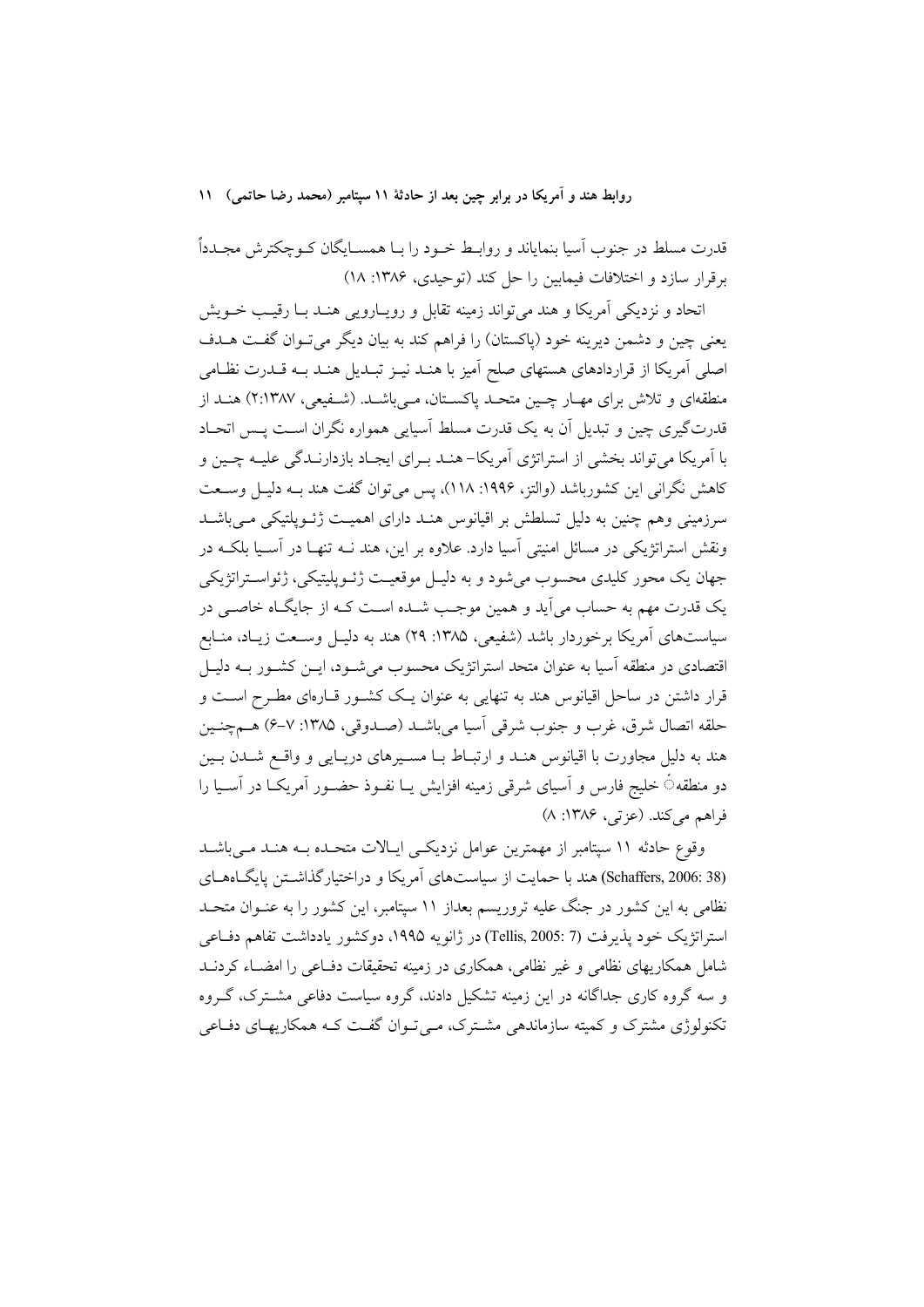قدرت مسلط در جنوب اّسیا بنمایاند و روابـط خــود را بــا همســایگان کــوچکترش مجــدداً برقرار سازد و اختلافات فیمابین را حل کند (توحیدی، ۱۳۸۶: ۱۸)

اتحاد و نزدیکی آمریکا و هند می تواند زمینه تقابل و رویـارویی هنـد بـا رقیـب خــویش يعني چين و دشمن ديرينه خود (پاکستان) را فراهم کند به بيان ديگر مي تـوان گفـت هـدف اصلی آمریکا از قراردادهای هستهای صلح آمیز با هنـد نیـز تبـدیل هنـد بـه قـدرت نظـامی منطقهای و تلاش برای مهـار چـین متحـد پاکسـتان، مـیباشـد. (شـفیعی، ۲:۱۳۸۷) هنـد از قدرتگیری چین و تبدیل آن به یک قدرت مسلط آسیایی همواره نگران اسـت پــس اتحــاد با آمریکا میتواند بخشی از استراتژی آمریکا- هنـد بـرای ایجـاد بازدارنـدگی علیـه چـین و كاهش نگرانی این كشورباشد (والتز، ۱۹۹۶: ۱۱۸)، پس می توان گفت هند بـه دلیـل وســعت سرزمینی وهم چنین به دلیل تسلطش بر اقیانوس هنـد دارای اهمیـت ژئــویلتیکی مــی باشــد ونقش استراتژیکی در مسائل امنیتی آسیا دارد. علاوه بر این، هند نــه تنهـا در آســیا بلکــه در جهان يک محور کليدي محسوب مي شود و به دليـل موقعيـت ژئـوپليتيکي، ژئواسـتراتژيکي یک قدرت مهم به حساب می آید و همین موجـب شــده اسـت کــه از جایگــاه خاصــی در سیاستهای آمریکا برخوردار باشد (شفیعی، ۱۳۸۵: ۲۹) هند به دلیـل وسـعت زیـاد، منـابع اقتصادی در منطقه آسیا به عنوان متحد استراتژیک محسوب میشود، ایــن کشــور بــه دلیــل قرار داشتن در ساحل اقیانوس هند به تنهایی به عنوان یـک کشـور قــارهای مطـرح اســت و حلقه اتصال شرق، غرب و جنوب شرقي أسيا مي باشـد (صـدوقي، ١٣٨٥: ٧-۶) هـمچنـين هند به دلیل مجاورت با اقیانوس هنـد و ارتبـاط بـا مسـیرهای دریـایی و واقــع شــدن بـین دو منطقهٴ خلیج فارس و آسیای شرقی زمینه افزایش یــا نفــوذ حضــور آمریکــا در آســیا را فراهم مي كند. (عزتي، ١٣٨۶: ٨)

وقوع حادثه ۱۱ سیتامبر از مهمترین عوامل نزدیکهی ایـالات متحـده بـه هنـد مـی باشـد (Schaffers, 2006: 38) هند با حمایت از سیاستهای آمریکا و دراختیارگذاشتن پایگاههای نظامی به این کشور در جنگ علیه تروریسم بعداز ۱۱ سپتامبر، این کشور را به عنـوان متحـد استراتژیک خود پذیرفت (7 :Tellis, 2005) در ژانویه ۱۹۹۵، دوکشور یادداشت تفاهم دفاعی شامل همکاریهای نظامی و غیر نظامی، همکاری در زمینه تحقیقات دفـاعی را امضــاء کردنــد و سه گروه کاری جداگانه در این زمینه تشکیل دادند، گروه سیاست دفاعی مشـترک، گـروه تکنولوژی مشترک و کمیته سازماندهی مشـترک، مـی تـوان گفـت کـه همکاریهـای دفـاعی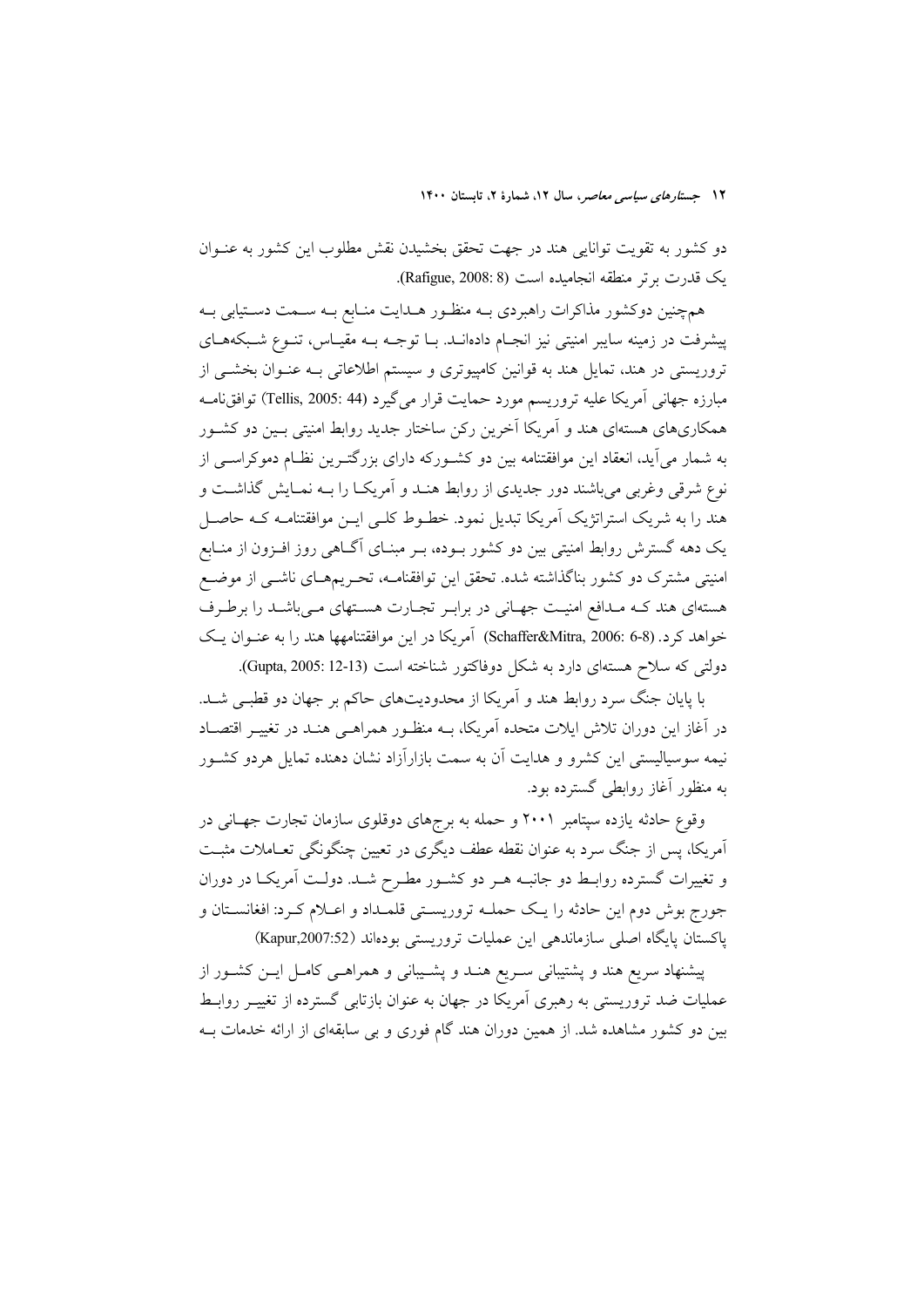دو کشور به تقویت توانایی هند در جهت تحقق بخشیدن نقش مطلوب این کشور به عنــوان یک قدرت برتر منطقه انجامیده است (Rafigue, 2008: 8).

همچنین دوکشور مذاکرات راهبردی بــه منظــور هــدایت منــابع بــه ســمت دســتیابی بــه پیشرفت در زمینه سایبر امنیتی نیز انجـام دادهانـد. بـا توجـه بـه مقیـاس، تنـوع شـبکههـای تروریستی در هند، تمایل هند به قوانین کامپیوتری و سیستم اطلاعاتی بـه عنـوان بخشـی از مبارزه جهاني آمريكا عليه تروريسم مورد حمايت قرار مي گيرد (Tellis, 2005: 44) توافق نامــه همکاریهای هستهای هند و آمریکا آخرین رکن ساختار جدید روابط امنیتی بـین دو کشـور به شمار میآید، انعقاد این موافقتنامه بین دو کشـورکه دارای بزرگتـرین نظـام دموکراســی از نوع شرقی وغربی می باشند دور جدیدی از روابط هنـد و آمریکـا را بـه نمـایش گذاشـت و هند را به شریک استراتژیک آمریکا تبدیل نمود. خطـوط کلـی ایـن موافقتنامـه کـه حاصـل یک دهه گسترش روابط امنیتی بین دو کشور بـوده، بـر مبنـای آگـاهی روز افـزون از منـابع امنیتی مشترک دو کشور بناگذاشته شده. تحقق این توافقنامـه، تحـریمهـای ناشــی از موضــع هستهای هند کـه مـدافع امنیـت جهـانی در برابـر تجـارت هسـتهای مـیباشـد را برطـرف خواهد کرد. (Schaffer&Mitra, 2006: 6-8) آمريکا در اين موافقتنامهها هند را به عنـوان يـک دولتی که سلاح هستهای دارد به شکل دوفاکتور شناخته است (Gupta, 2005: 12-13).

با پایان جنگ سرد روابط هند و آمریکا از محدودیتهای حاکم بر جهان دو قطبی شـد. در آغاز این دوران تلاش ایلات متحده آمریکا، بــه منظـور همراهــی هنــد در تغییــر اقتصــاد نیمه سوسیالیستی این کشرو و هدایت آن به سمت بازارآزاد نشان دهنده تمایل هردو کشـور به منظور آغاز روابطی گسترده بود.

وقوع حادثه یازده سپتامبر ۲۰۰۱ و حمله به برجهای دوقلوی سازمان تجارت جهـانی در آمریکا، پس از جنگ سرد به عنوان نقطه عطف دیگری در تعیین چنگونگی تعـاملات مثبـت و تغییرات گسترده روابط دو جانبـه هـر دو کشـور مطـرح شـد. دولـت آمریکـا در دوران جورج بوش دوم این حادثه را یک حملـه تروریسـتی قلمـداد و اعـلام کـرد: افغانسـتان و پاکستان پایگاه اصلی سازماندهی این عملیات تروریستی بودهاند (Kapur,2007:52)

پیشنهاد سریع هند و پشتیبانی سـریع هنـد و پشـیبانی و همراهـی کامـل ایــن کشــور از عملیات ضد تروریستی به رهبری اَمریکا در جهان به عنوان بازتابی گسترده از تغییـر روابـط بین دو کشور مشاهده شد. از همین دوران هند گام فوری و بی سابقهای از ارائه خدمات بـه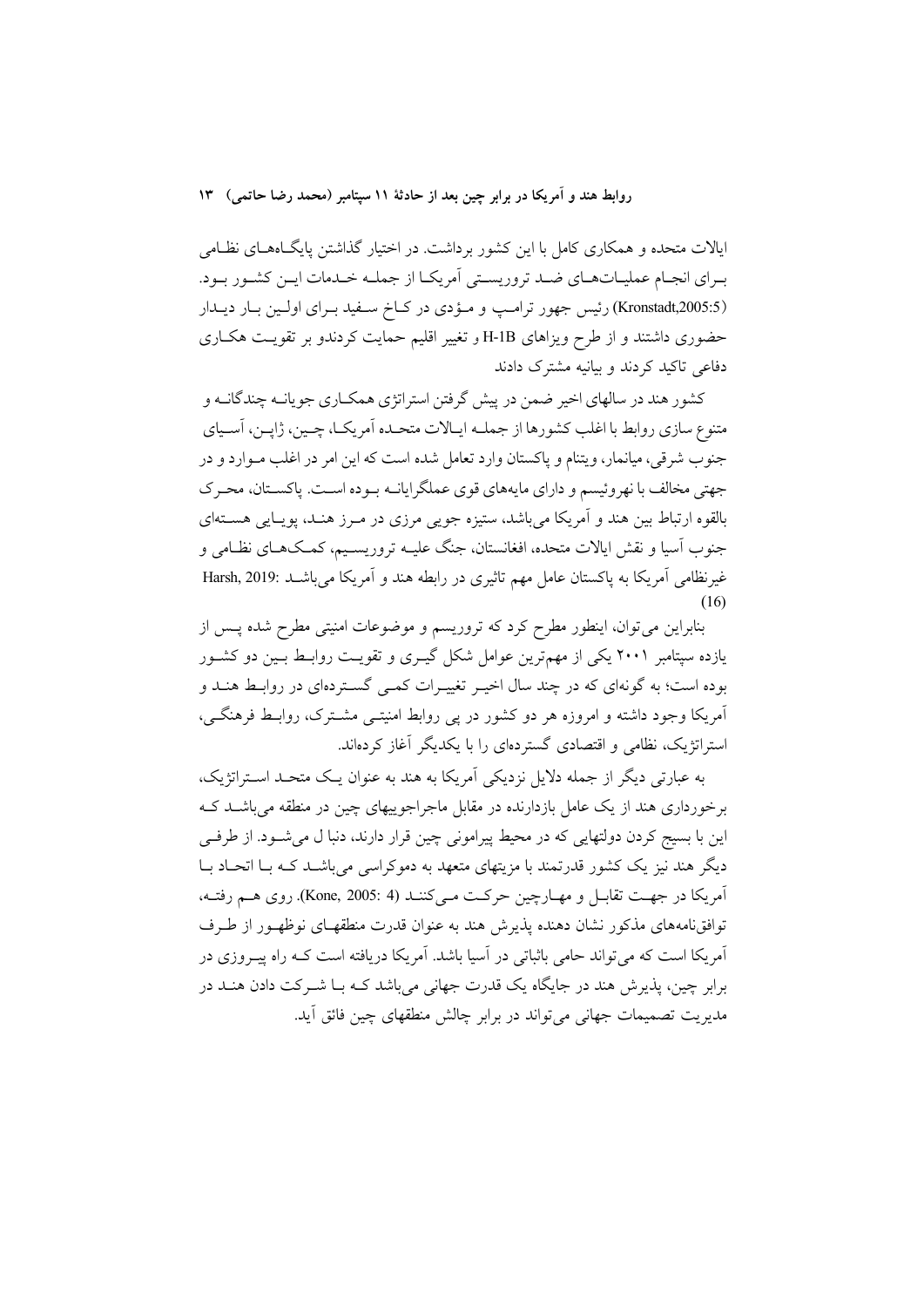ایالات متحده و همکاری کامل با این کشور برداشت. در اختیار گذاشتن پایگاههـای نظـامی بـراي انجـام عمليـاتهـاي ضـد تروريسـتي أمريكـا از جملـه خـدمات ايـن كشـور بـود. (Kronstadt,2005:5) رئیس جهور ترامپ و مؤدی در کاخ سهید بـرای اولـین بـار دیـدار حضوری داشتند و از طرح ویزاهای H-1B و تغییر اقلیم حمایت کردندو بر تقویت هکاری دفاعی تاکید کردند و بیانیه مشترک دادند

کشور هند در سالهای اخیر ضمن در پیش گرفتن استراتژی همکـاری جویانــه چندگانــه و متنوع سازي روابط با اغلب كشورها از جملــه ايــالات متحــده اَمريكــا، چــين، ژايــن، اَســياي جنوب شرقی، میانمار، ویتنام و پاکستان وارد تعامل شده است که این امر در اغلب مـوارد و در جهتي مخالف با نهروئيسم و داراي مايههاي قوى عملگرايانـه بـوده اسـت. ياكسـتان، محـرك بالقوه ارتباط بين هند و آمريكا مي باشد، ستيزه جويبي مرزي در مـرز هنـد، يوپــايي هســتهاي جنوب آسیا و نقش ایالات متحده، افغانستان، جنگ علیــه تروریســیم، کمــکـهــای نظــامی و غیر نظامی اَمریکا به پاکستان عامل مهم تاثیری در رابطه هند و اَمریکا می باشــد :Harsh, 2019  $(16)$ 

بنابراین میتوان، اینطور مطرح کرد که تروریسم و موضوعات امنیتی مطرح شده پس از یازده سپتامبر ۲۰۰۱ یکی از مهمترین عوامل شکل گیـری و تقویـت روابـط بـین دو کشـور بوده است؛ به گونهای که در چند سال اخیـر تغییـرات کمـی گسـتردهای در روابـط هنـد و آمریکا وجود داشته و امروزه هر دو کشور در پی روابط امنیتـی مشـترک، روابـط فرهنگـی، استراتژیک، نظامی و اقتصادی گستردهای را با یکدیگر آغاز کردهاند.

به عبارتی دیگر از جمله دلایل نزدیکی آمریکا به هند به عنوان یـک متحـد اسـتراتژیک، برخورداری هند از یک عامل بازدارنده در مقابل ماجراجوییهای چین در منطقه می باشــد کــه این با بسیج کردن دولتهایی که در محیط پیرامونی چین قرار دارند، دنبا ل میشـود. از طرفــی دیگر هند نیز یک کشور قدرتمند با مزیتهای متعهد به دموکراسی می باشـد کـه بــا اتحــاد بــا آمريكا در جهت تقابـل و مهـارچين حركـت مـي كننـد (Kone, 2005: 4). روى هـم رفتـه، توافق نامههای مذکور نشان دهنده پذیرش هند به عنوان قدرت منطقهـای نوظهـور از طـرف آمریکا است که می تواند حامی باثباتی در آسیا باشد. آمریکا دریافته است کـه راه پیــروزی در برابر چین، پذیرش هند در جایگاه یک قدرت جهانی میباشد کـه بـا شــرکت دادن هنــد در مدیریت تصمیمات جهانی می تواند در برابر چالش منطقهای چین فائق آید.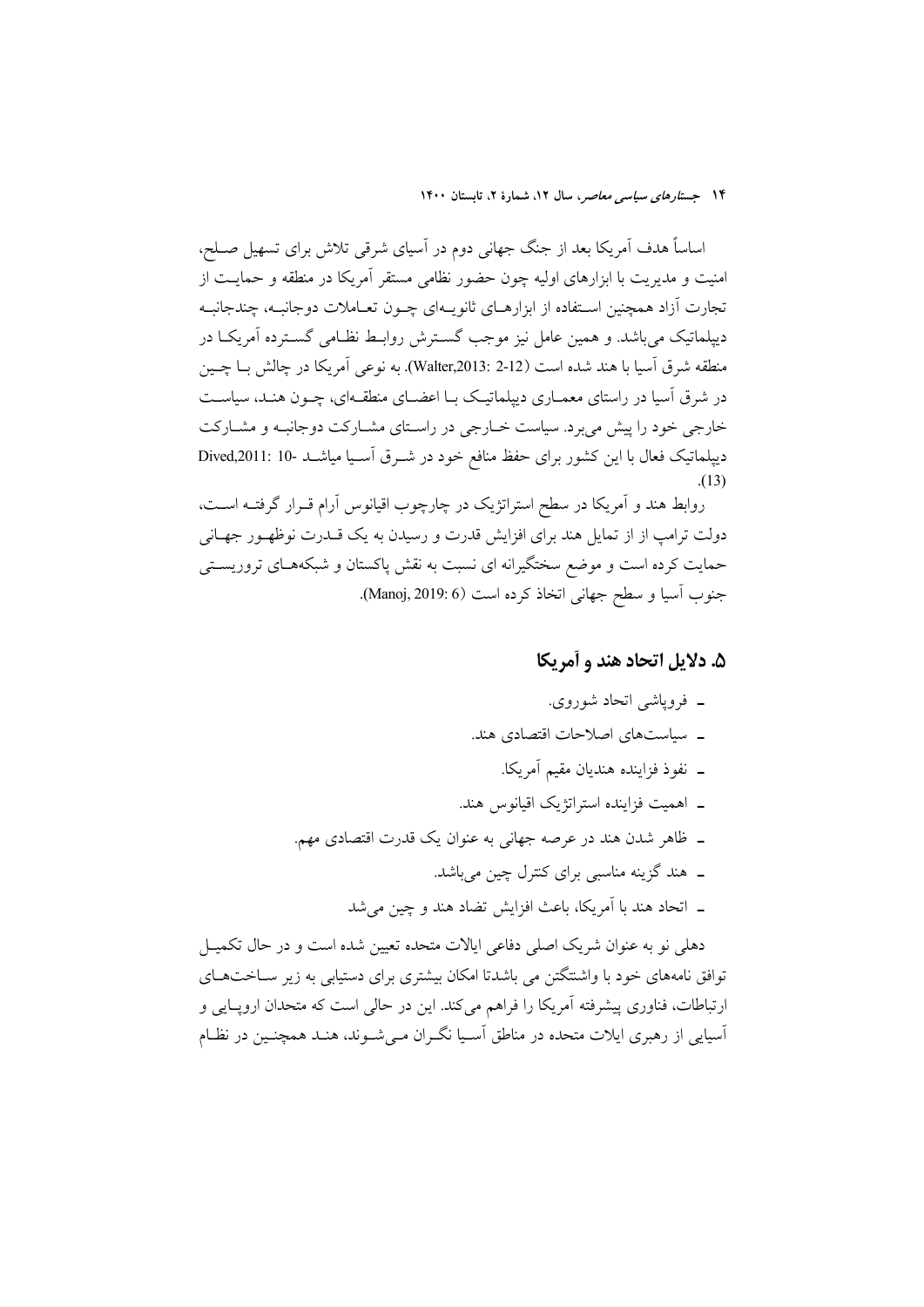اساساً هدف اَمریکا بعد از جنگ جهانی دوم در اَسیای شرقی تلاش برای تسهیل صــلح، امنیت و مدیریت با ابزارهای اولیه چون حضور نظامی مستقر آمریکا در منطقه و حمایـت از تجارت آزاد همچنین اسـتفاده از ابزارهــای ثانویــهای چــون تعــاملات دوجانبــه، چندجانبــه دیپلماتیک می باشد. و همین عامل نیز موجب گســترش روابــط نظــامی گســترده آمریکــا در منطقه شرق اسيا با هند شده است (Valter,2013: 2-12). به نوعي اَمريكا در چالش بــا چــين در شرق اسیا در راستای معمـاری دیپلماتیـک بـا اعضـای منطقـهای، چـون هنـد، سیاسـت خارجی خود را پیش می برد. سیاست خـارجی در راسـتای مشـارکت دوجانبـه و مشـارکت دیپلماتیک فعال با این کشور برای حفظ منافع خود در شـرق آسـیا میاشـد -10 :Dived,2011

روابط هند و آمریکا در سطح استراتژیک در چارچوب اقیانوس آرام قــرار گرفتــه اســت، دولت ترامپ از از تمایل هند برای افزایش قدرت و رسیدن به یک قــدرت نوظهــو ر جهــانـی حمایت کرده است و موضع سختگیرانه ای نسبت به نقش پاکستان و شبکههـای تروریسـتی جنوب اّسيا و سطح جهاني اتخاذ كرده است (Manoj, 2019: 6).

### ۵. دلایل اتحاد هند و آمریکا

۔ فرویاشی اتحاد شوروی. ـ سیاستهای اصلاحات اقتصادی هند. ــ نفوذ فزاينده هنديان مقيم آمريكا. ـ اهميت فزاينده استراتژيک اقيانوس هند. ـ ظاهر شدن هند در عرصه جهانی به عنوان یک قدرت اقتصادی مهم. ۔ هند گزینه مناسبی برای کنترل چین میباشد. ـ اتحاد هند با آمريكا، باعث افزايش تضاد هند و چين مي شد

دهلی نو به عنوان شریک اصلی دفاعی ایالات متحده تعیین شده است و در حال تکمیـل توافق نامههای خود با واشتتگتن می باشدتا امکان بیشتری برای دستیابی به زیر سیاختههای ارتباطات، فناوری پیشرفته آمریکا را فراهم میکند. این در حالی است که متحدان اروپـایی و اسپایی از رهبری ایلات متحده در مناطق اسـیا نگـران مـی شـوند، هنـد همچنـین در نظـام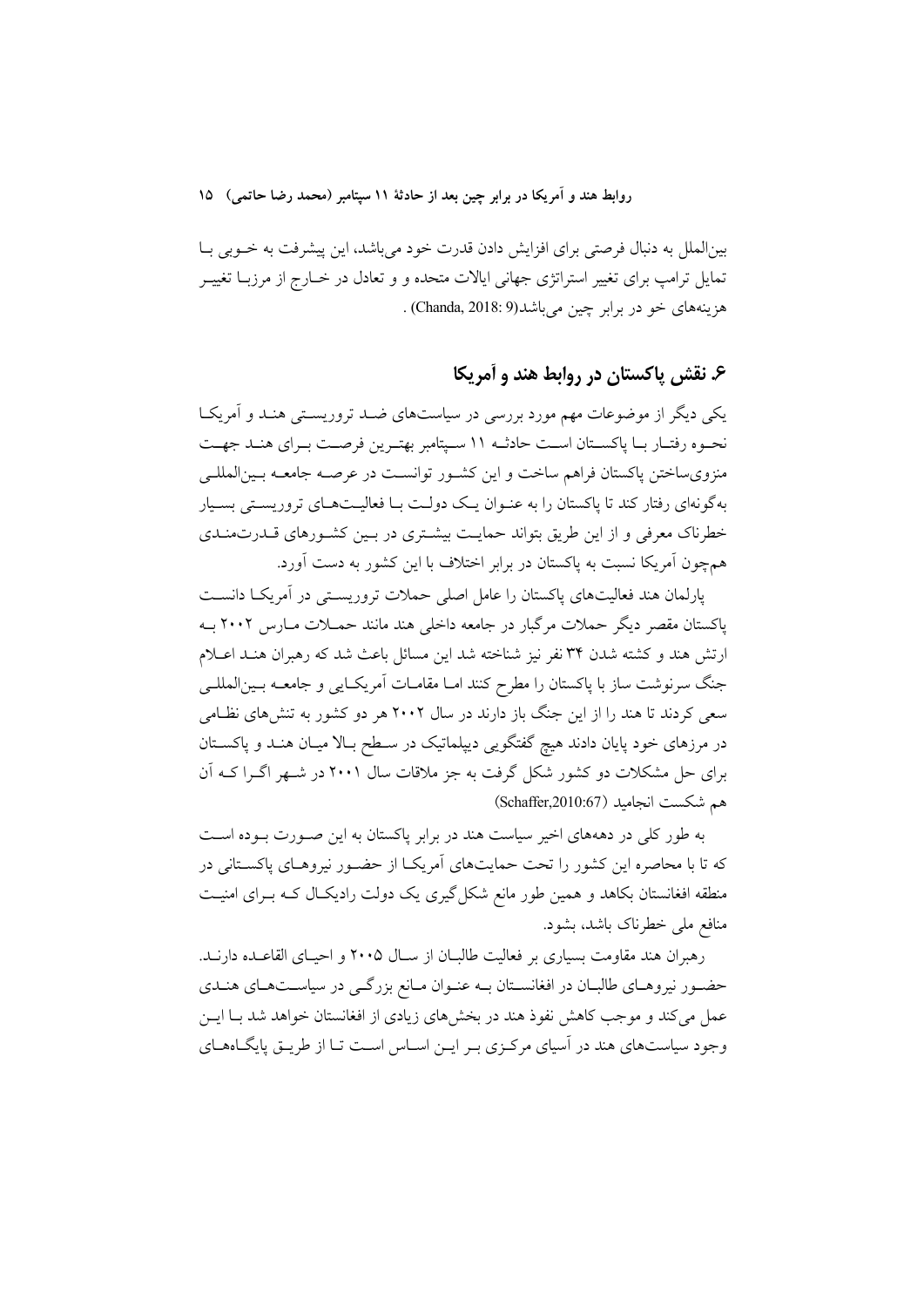بینالملل به دنبال فرصتی برای افزایش دادن قدرت خود میباشد، این پیشرفت به خـوبی بـا تمایل ترامپ برای تغییر استراتژی جهانی ایالات متحده و و تعادل در خــارج از مرزبــا تغییــر هزينههاي خو در برابر چين مي باشد(Chanda, 2018: 9) .

# ۶. نقش یاکستان در روابط هند و آمریکا

یکی دیگر از موضوعات مهم مورد بررسی در سیاستهای ضـد تروریسـتی هنـد و اَمریکـا نحـوه رفتـار بـا پاكسـتان اسـت حادثــه ١١ سـپتامبر بهتـرين فرصـت بـراي هنـد جهـت منزویساختن پاکستان فراهم ساخت و این کشـور توانسـت در عرصـه جامعـه بـینالمللـی بهگونهای رفتار کند تا پاکستان را به عنـوان یـک دولـت بـا فعالیـتهـای تروریسـتی بسـیار خطرناک معرفی و از این طریق بتواند حمایت بیشتری در بین کشورهای قـدرتمنـدی همچون آمریکا نسبت به پاکستان در برابر اختلاف با این کشور به دست آورد.

یارلمان هند فعالیتهای پاکستان را عامل اصلی حملات تروریستی در آمریکا دانست پاکستان مقصر دیگر حملات مرگبار در جامعه داخلی هند مانند حمــلات مــارس ۲۰۰۲ بــه ارتش هند و کشته شدن ۳۴ نفر نیز شناخته شد این مسائل باعث شد که رهبران هنـد اعــلام جنگ سرنوشت ساز با پاکستان را مطرح کنند امـا مقامـات آمريکـايي و جامعــه بـينالمللــي سعی کردند تا هند را از این جنگ باز دارند در سال ۲۰۰۲ هر دو کشور به تنشهای نظامی در مرزهای خود پایان دادند هیچ گفتگویی دیپلماتیک در سـطح بـالا میـان هنـد و پاکســتان برای حل مشکلات دو کشور شکل گرفت به جز ملاقات سال ۲۰۰۱ در شـهر اگـرا کــه آن هم شكست انجاميد (Schaffer,2010:67)

به طور کلی در دهههای اخیر سیاست هند در برابر پاکستان به این صورت بوده است که تا با محاصره این کشور را تحت حمایتهای آمریکـا از حضـور نیروهـای پاکسـتانی در منطقه افغانستان بکاهد و همین طور مانع شکل گیری یک دولت رادیکـال کـه بـرای امنیـت منافع ملي خطرناک باشد، بشود.

رهبران هند مقاومت بسیاری بر فعالیت طالبـان از ســال ۲۰۰۵ و احیــای القاعــده دارنــد. حضور نیروهای طالبان در افغانستان بـه عنـوان مـانع بزرگـی در سیاسـتهـای هنـدی عمل می کند و موجب کاهش نفوذ هند در بخشهای زیادی از افغانستان خواهد شد بـا ایــن وجود سیاستهای هند در آسیای مرکزی بـر ایـن اسـاس اسـت تـا از طریـق پایگـاههـای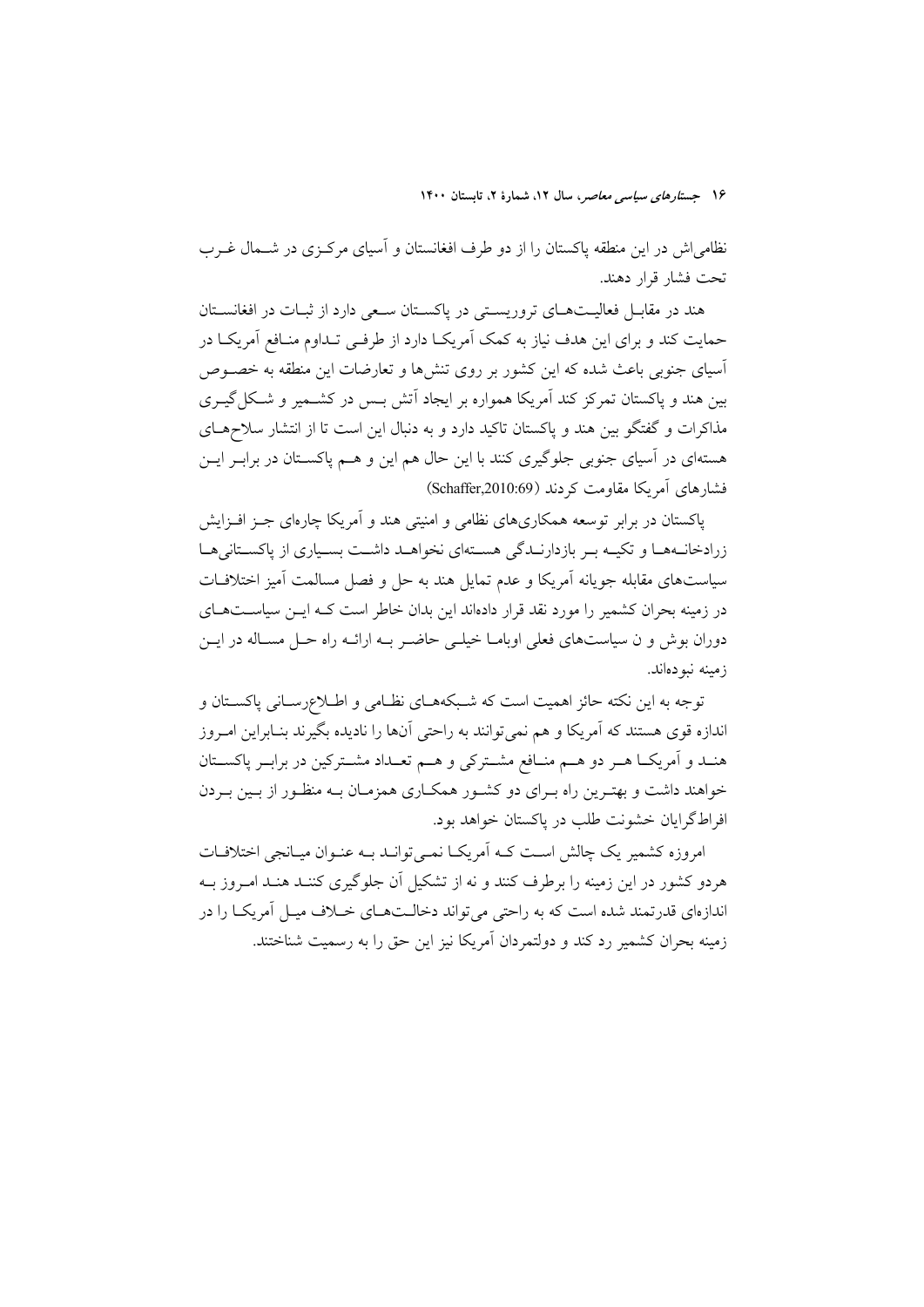نظامی اش در این منطقه پاکستان را از دو طرف افغانستان و آسیای مرکزی در شــمال غــرب تحت فشار قرار دهند.

هند در مقابـل فعاليـتهـاي تروريسـتي در پاكسـتان سـعي دارد از ثبـات در افغانسـتان حمایت کند و برای این هدف نیاز به کمک آمریکـا دارد از طرفـی تـداوم منـافع آمریکــا در آسیای جنوبی باعث شده که این کشور بر روی تنشها و تعارضات این منطقه به خصـوص بین هند و پاکستان تمرکز کند آمریکا همواره بر ایجاد آتش بـس در کشــمیر و شـکل گیــری مذاکرات و گفتگو بین هند و پاکستان تاکید دارد و به دنبال این است تا از انتشار سلاحهای هستهای در آسیای جنوبی جلوگیری کنند با این حال هم این و هـم پاکسـتان در برابــر ایــن فشارهای آمریکا مقاومت کے دند (Schaffer,2010:69)

پاکستان در برابر توسعه همکاریهای نظامی و امنیتی هند و آمریکا چارهای جبز افیزایش زرادخانـههـا و تكيـه بـر بازدارنـدگي هسـتهاي نخواهـد داشـت بسـياري از ياكسـتاني هـا سیاستهای مقابله جویانه آمریکا و عدم تمایل هند به حل و فصل مسالمت آمیز اختلافـات در زمینه بحران کشمیر را مورد نقد قرار دادهاند این بدان خاطر است کـه ایــن سیاســتهــای دوران بوش و ن سیاستهای فعلی اوبامیا خیلی حاضیر بیه ارائیه راه حیل مسیاله در این زمينه نبودهاند.

توجه به این نکته حائز اهمیت است که شـبکههـای نظـامی و اطـلاعرسـانی پاکسـتان و اندازه قوی هستند که آمریکا و هم نمیتوانند به راحتی آنها را نادیده بگیرند بنـابراین امـروز هنــد و اَمريكــا هــر دو هــم منــافع مشــتركي و هــم تعــداد مشــتركين در برابــر پاكســتان خواهند داشت و بهتـرین راه بـرای دو کشـور همکـاری همزمـان بـه منظـور از بـین بـردن افراطگرایان خشونت طلب در پاکستان خواهد بود.

امروزه کشمیر یک چالش است کـه اَمریکـا نمــیتوانــد بــه عنــوان میــانجی اختلافــات هردو کشور در این زمینه را برطرف کنند و نه از تشکیل آن جلوگیری کننـد هنـد امـروز بـه اندازهای قدرتمند شده است که به راحتی می تواند دخالـتهـای خــلاف میـل آمریکــا را در زمینه بحران کشمیر رد کند و دولتمردان آمریکا نیز این حق را به رسمیت شناختند.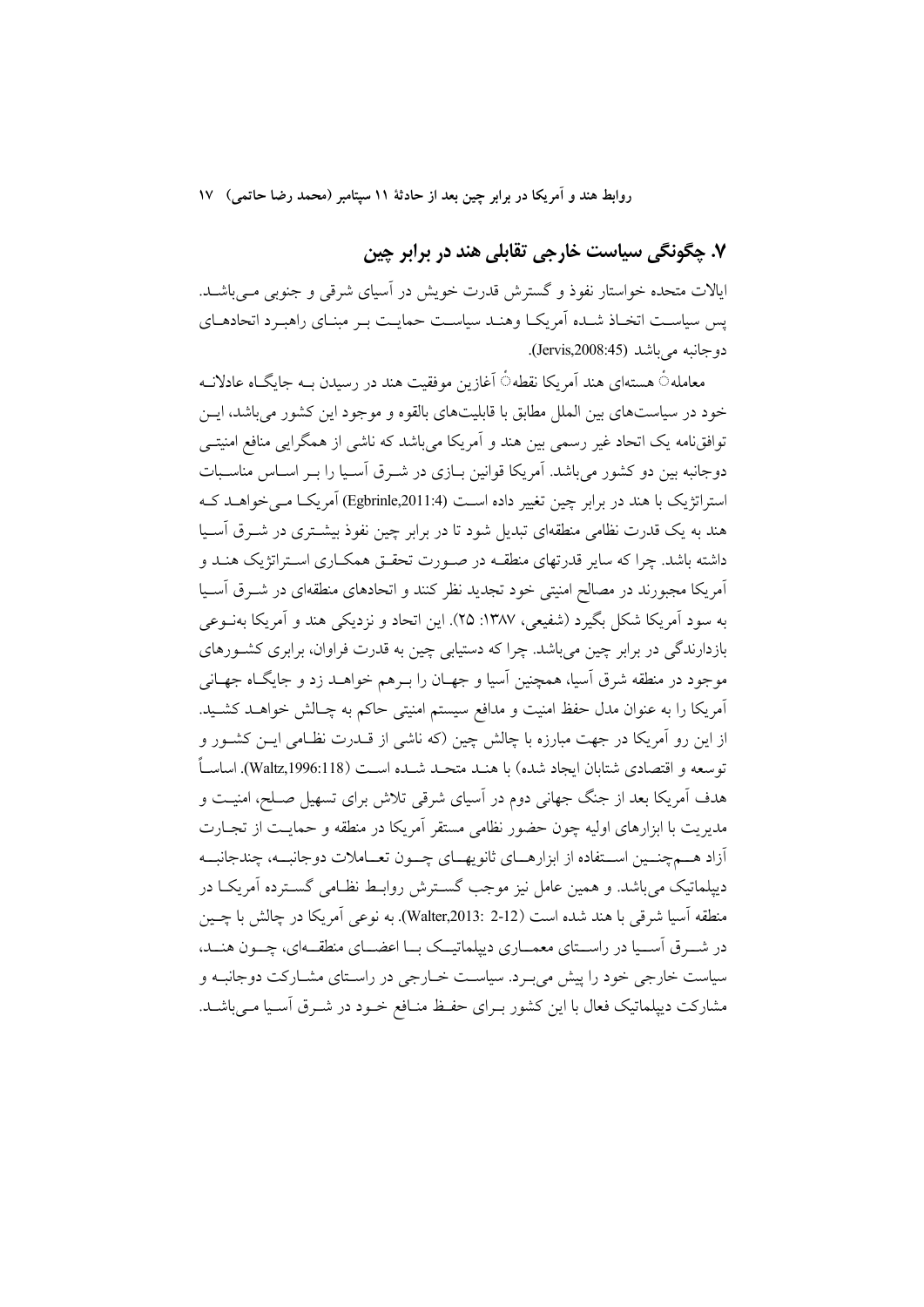# ۷. چگونگی سیاست خارجی تقابلی هند در برابر چین

ایالات متحده خواستار نفوذ و گسترش قدرت خویش در آسیای شرقی و جنوبی مبی باشـد. پس سیاست اتخـاذ شـده اَمریکـا وهنـد سیاسـت حمایـت بـر مبنـای راهبـرد اتحادهـای دو جانبه مے باشد (Jervis,2008:45).

معاملهٴ هستهای هند اَمریکا نقطهٴ اَغازین موفقیت هند در رسیدن بـه جایگـاه عادلانـه خود در سیاستهای بین الملل مطابق با قابلیتهای بالقوه و موجود این کشور می باشد، ایــن توافق،امه یک اتحاد غیر رسمی بین هند و اَمریکا می باشد که ناشی از همگرایی منافع امنیتـی دوجانبه بین دو کشور می باشد. آمریکا قوانین بـازی در شـرق آسـیا را بـر اسـاس مناسـبات استراتژیک یا هند در برابر چین تغییر داده است (Egbrinle,2011:4) آمریکیا مے خواهید کیه هند به یک قدرت نظامی منطقهای تبدیل شود تا در برابر چین نفوذ بیشــتری در شــرق آســیا داشته باشد. چرا که سایر قدرتهای منطقــه در صــورت تحقــق همکــاری اســتراتژیک هنــد و آمریکا مجبورند در مصالح امنیتی خود تجدید نظر کنند و اتحادهای منطقهای در شـرق آسـیا به سود آمريکا شکل بگيرد (شفيعي، ١٣٨٧: ٢۵). اين اتحاد و نزديکي هند و آمريکا بهنــوعي بازدارندگی در برابر چین می باشد. چرا که دستیابی چین به قدرت فراوان، برابری کشورهای موجود در منطقه شرق آسیا، همچنین آسیا و جهـان را بـرهـم خواهــد زد و جایگــاه جهــانـی اَمريكا را به عنوان مدل حفظ امنيت و مدافع سيستم امنيتي حاكم به چـالش خواهــد كشــيد. از این رو آمریکا در جهت مبارزه با چالش چین (که ناشی از قــدرت نظــامی ایــن کشــور و توسعه و اقتصادي شتايان ايجاد شده) يا هنـد متحـد شـده اسـت (Waltz,1996:118). اساسـاً هدف اَمریکا بعد از جنگ جهانی دوم در اَسیای شرقی تلاش برای تسهیل صـلح، امنیـت و مديريت با ابزارهاي اوليه چون حضور نظامي مستقر أمريكا در منطقه و حمايـت از تجــارت آزاد هسم چنسین اسستفاده از ابزارهسای ثانویهسای چسون تعساملات دوجانبسه، چندجانبسه دیپلماتیک میباشد. و همین عامل نیز موجب گسـترش روابـط نظـامی گسـترده آمریکـا در منطقه اَسيا شرقي با هند شده است (Walter,2013: 2-12). به نوعي اَمريكا در چالش با چــين در شـرق اسـیا در راسـتای معمـاری دیپلماتیــک بــا اعضــای منطقــهای، چــون هنــد، سیاست خارجی خود را پیش می بود. سیاست خبارجی در راستای مشبارکت دوجانبه و مشارکت دیپلماتیک فعال با این کشور بـرای حفـظ منـافع خـود در شـرق اَسـیا مـیباشــد.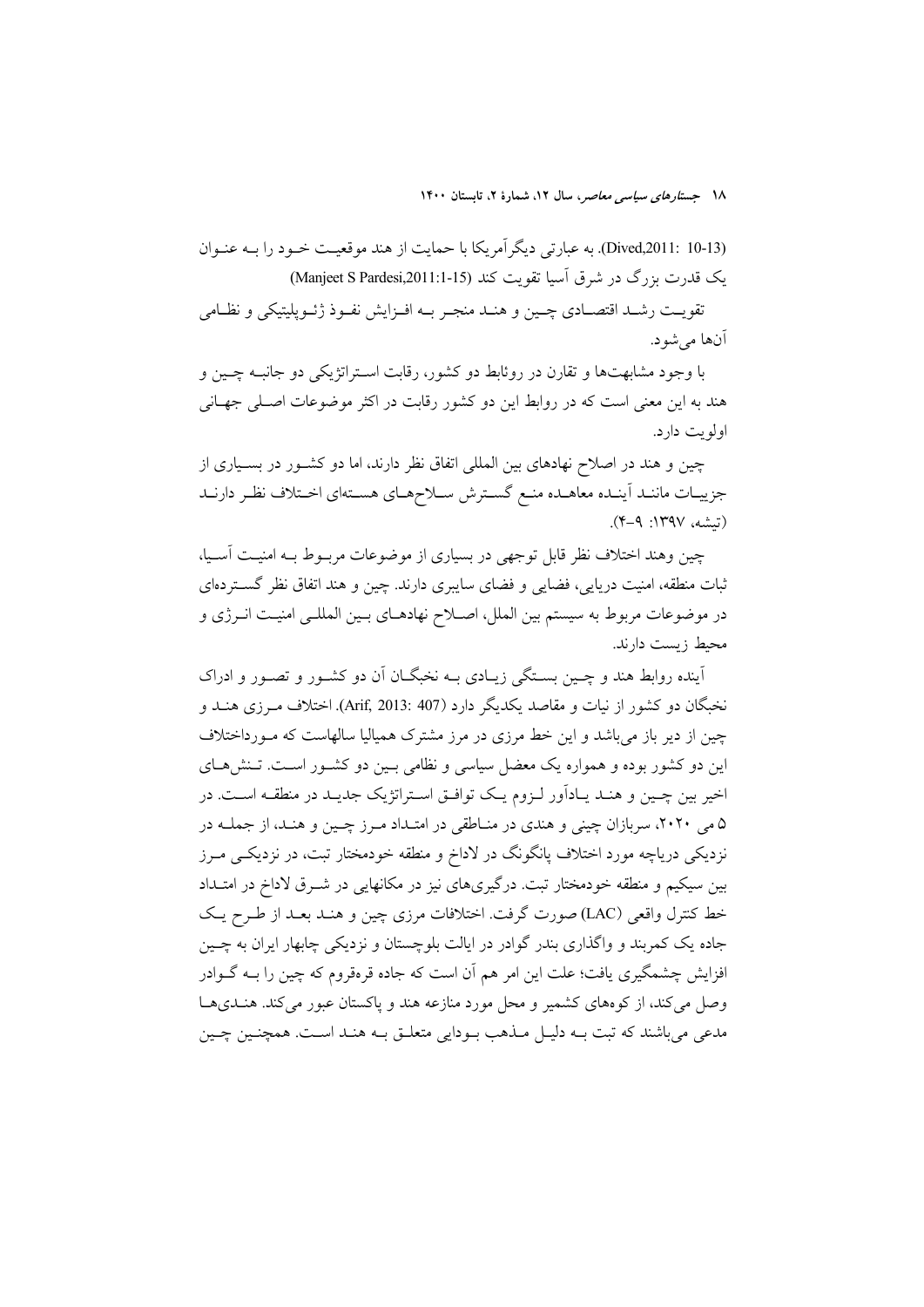(Dived,2011: 10-13). به عبارتي ديگر آمريكا با حمايت از هند موقعيت خـود را بـه عنـوان یک قدرت بزرگ در شرق آسیا تقویت کند (Manjeet S Pardesi,2011:1-15)

تقويت رشـد اقتصــادي چــين و هنــد منجـر بــه افــزايش نفــوذ ژئــويليتيكي و نظــامي آنها مي شو د.

با وجود مشابهتها و تقارن در روئابط دو کشور، رقابت استراتژیکی دو جانبـه چـین و هند به این معنی است که در روابط این دو کشور رقابت در اکثر موضوعات اصـلی جهـانی اولويت دارد.

چین و هند در اصلاح نهادهای بین المللی اتفاق نظر دارند، اما دو کشـور در بسـیاری از جزييات مانند أينده معاهـده منـع كسـترش سـلاحهـاي هسـتهاي اخـتلاف نظـر دارنـد (تىشە، ١٣٩٧: ٩-۴).

چین وهند اختلاف نظر قابل توجهی در بسیاری از موضوعات مربـوط بـه امنیـت آسـیا، ثبات منطقه، امنیت دریایی، فضایی و فضای سایبری دارند. چین و هند اتفاق نظر گستردهای در موضوعات مربوط به سیستم بین الملل، اصـلاح نهادهـای بـین المللـی امنیـت انـرژی و محيط زيست دارند.

آینده روابط هند و چـین بسـتگی زیـادی بـه نخبگـان آن دو کشـور و تصـور و ادراک نخبگان دو کشور از نیات و مقاصد یکدیگر دارد (Arif, 2013: 407). اختلاف مـرزی هنــد و چین از دیر باز می باشد و این خط مرزی در مرز مشترک همیالیا سالهاست که مـورداختلاف این دو کشور بوده و همواره یک معضل سیاسی و نظامی بـین دو کشـور اسـت. تـنش۱صی اخیر بین چـین و هنـد یـادآور لـزوم یـک توافـق اسـتراتژیک جدیـد در منطقـه اسـت. در ۵ می ۲۰۲۰، سربازان چینی و هندی در مناطقی در امتداد مرز چـین و هنـد، از جملـه در نزدیکی دریاچه مورد اختلاف پانگونگ در لاداخ و منطقه خودمختار تبت، در نزدیکـی مــرز بین سیکیم و منطقه خودمختار تبت. درگیریهای نیز در مکانهایی در شــرق لاداخ در امتــداد خط كنترل واقعي (LAC) صورت گرفت. اختلافات مرزي چين و هنـد بعـد از طـرح يـك جاده یک کمربند و واگذاری بندر گوادر در ایالت بلوچستان و نزدیکی چابهار ایران به چــین افزایش چشمگیری یافت؛ علت این امر هم آن است که جاده قرهقروم که چین را بــه گــوادر وصل می کند، از کوههای کشمیر و محل مورد منازعه هند و پاکستان عبور می کند. هنـدیهـا مدعی می باشند که تبت بــه دلیــل مــذهب بــودایی متعلــق بــه هنــد اســت. همچنــین چــین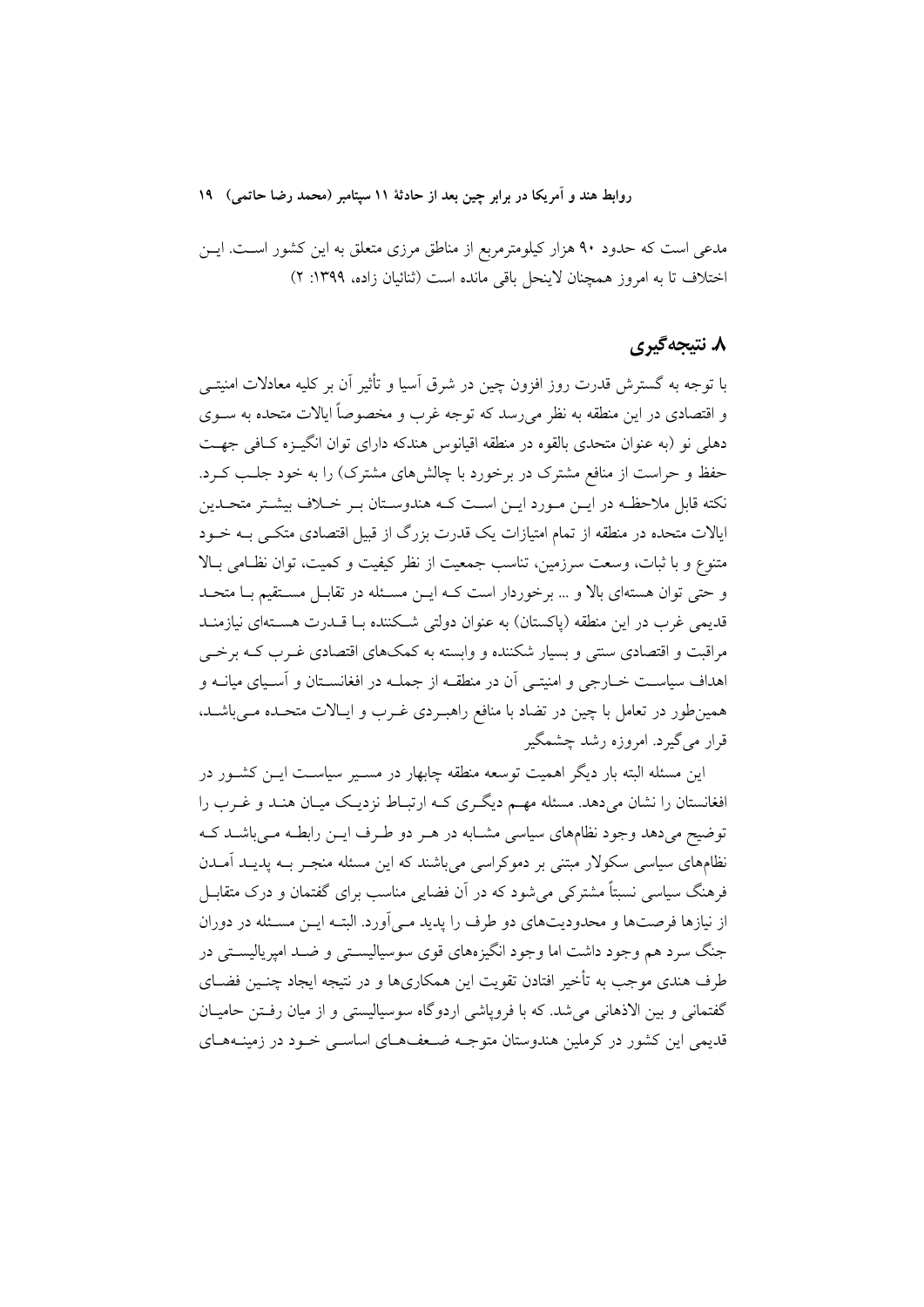مدعی است که حدود ۹۰ هزار کیلومترمربع از مناطق مرزی متعلق به این کشور اسـت. ایــن اختلاف تا به امروز همچنان لاینحل باقی مانده است (ثنائیان زاده، ۱۳۹۹: ۲)

### ۸. نتیجهگیری

با توجه به گسترش قدرت روز افزون چین در شرق آسیا و تأثیر آن بر کلیه معادلات امنیتــی و اقتصادی در این منطقه به نظر می٫رسد که توجه غرب و مخصوصاً ایالات متحده به ســوی دهلی نو (به عنوان متحدی بالقوه در منطقه اقیانوس هندکه دارای توان انگیـزه کـافی جهـت حفظ و حراست از منافع مشترک در برخورد با چالشهای مشترک) را به خود جلـب کـرد. نکته قابل ملاحظـه در ايــن مــورد ايــن اســت کــه هندوســتان بــر خــلاف بيشــتر متحــدين ایالات متحده در منطقه از تمام امتیازات یک قدرت بزرگ از قبیل اقتصادی متکـی بــه خــود متنوع و با ثبات، وسعت سرزمین، تناسب جمعیت از نظر کیفیت و کمیت، توان نظـامی بـالا و حتی توان هستهای بالا و … برخوردار است کـه ایــن مسـئله در تقابـل مسـتقیم بـا متحـد قدیمی غرب در این منطقه (پاکستان) به عنوان دولتی شکننده بـا قــدرت هســتهای نیازمنــد مراقبت و اقتصادی سنتی و بسیار شکننده و وابسته به کمکهای اقتصادی غـرب کـه برخــی اهداف سیاسـت خــارجی و امنیتــی اَن در منطقــه از جملــه در افغانســتان و اَســیای میانــه و همین طور در تعامل با چین در تضاد با منافع راهب دی غـرب و ایـالات متحـده مـی باشـد. قرار مي گيرد. امروزه رشد چشمگير

این مسئله البته بار دیگر اهمیت توسعه منطقه چابهار در مســیر سیاســت ایــن کشــور در افغانستان را نشان می دهد. مسئله مهـم دیگـری کـه ارتبـاط نزدیـک میـان هنـد و غـرب را توضیح میدهد وجود نظامهای سیاسی مشـابه در هـر دو طـرف ایــن رابطــه مــیباشــد کــه نظامهای سیاسی سکولار مبتنی بر دموکراسی می باشند که این مسئله منجـر بــه یدیــد آمــدن فرهنگ سیاسی نسبتاً مشترکی می شود که در آن فضایی مناسب برای گفتمان و درک متقابـل از نیازها فرصتها و محدودیتهای دو طرف را پدید مـی آورد. البتـه ایــن مسـئله در دوران جنگ سرد هم وجود داشت اما وجود انگیزههای قوی سوسیالیستی و ضـد امپریالیسـتی در طرف هندی موجب به تأخیر افتادن تقویت این همکاریها و در نتیجه ایجاد چنـین فضـای گفتمانی و بین الاذهانی می شد. که با فرویاشی اردوگاه سوسیالیستی و از میان رفتن حامیـان قدیمی این کشور در کرملین هندوستان متوجـه ضـعف۵ـای اساســی خـود در زمینــههـای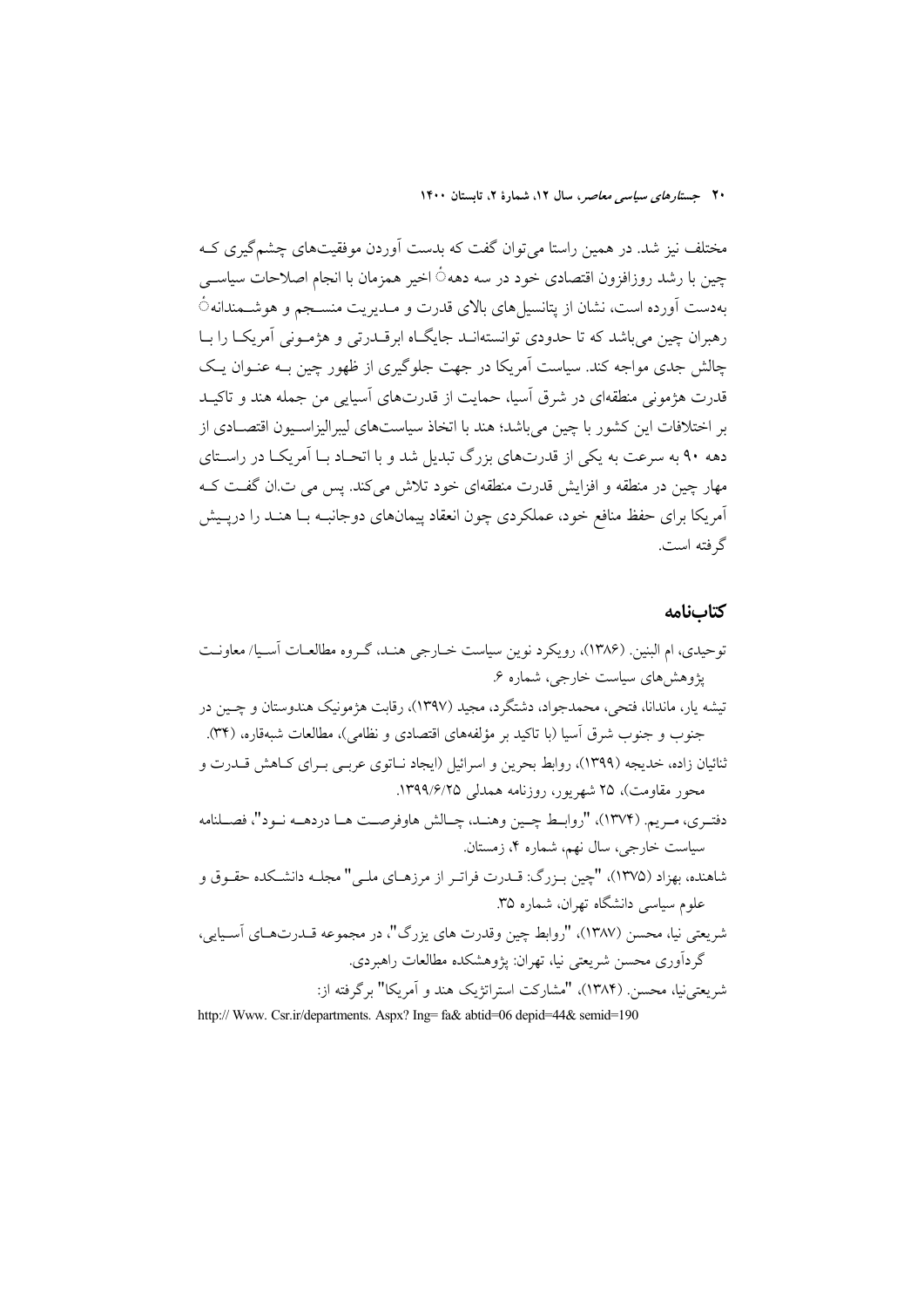مختلف نیز شد. در همین راستا می توان گفت که بدست آوردن موفقیتهای چشمگیری ک چین با رشد روزافزون اقتصادی خود در سه دهه٥ً اخیر همزمان با انجام اصلاحات سیاســی بهدست أورده است، نشان از پتانسیل های بالای قدرت و مـدیریت منسـجم و هوشــمندانه ً رهبران چین می باشد که تا حدودی توانستهانـد جایگـاه ابرقــدرتی و هژمــونی آمریکــا را بــا چالش جدی مواجه کند. سیاست اَمریکا در جهت جلوگیری از ظهور چین بـه عنـوان یـک قدرت هژمونی منطقهای در شرق آسیا، حمایت از قدرتهای آسیایی من جمله هند و تاکیـد بر اختلافات این کشور با چین می باشد؛ هند با اتخاذ سیاستهای لیبرالیزاسـیون اقتصـادی از دهه ۹۰ به سرعت به یکی از قدرتهای بزرگ تبدیل شد و با اتحـاد بـا اَمریکـا در راسـتای مهار چین در منطقه و افزایش قدرت منطقهای خود تلاش می کند. پس می ت ان گفت ک اَمریکا برای حفظ منافع خود، عملکردی چون انعقاد پیمانهای دوجانبـه بـا هنـد را درپـیش گر فته است.

#### كتابنامه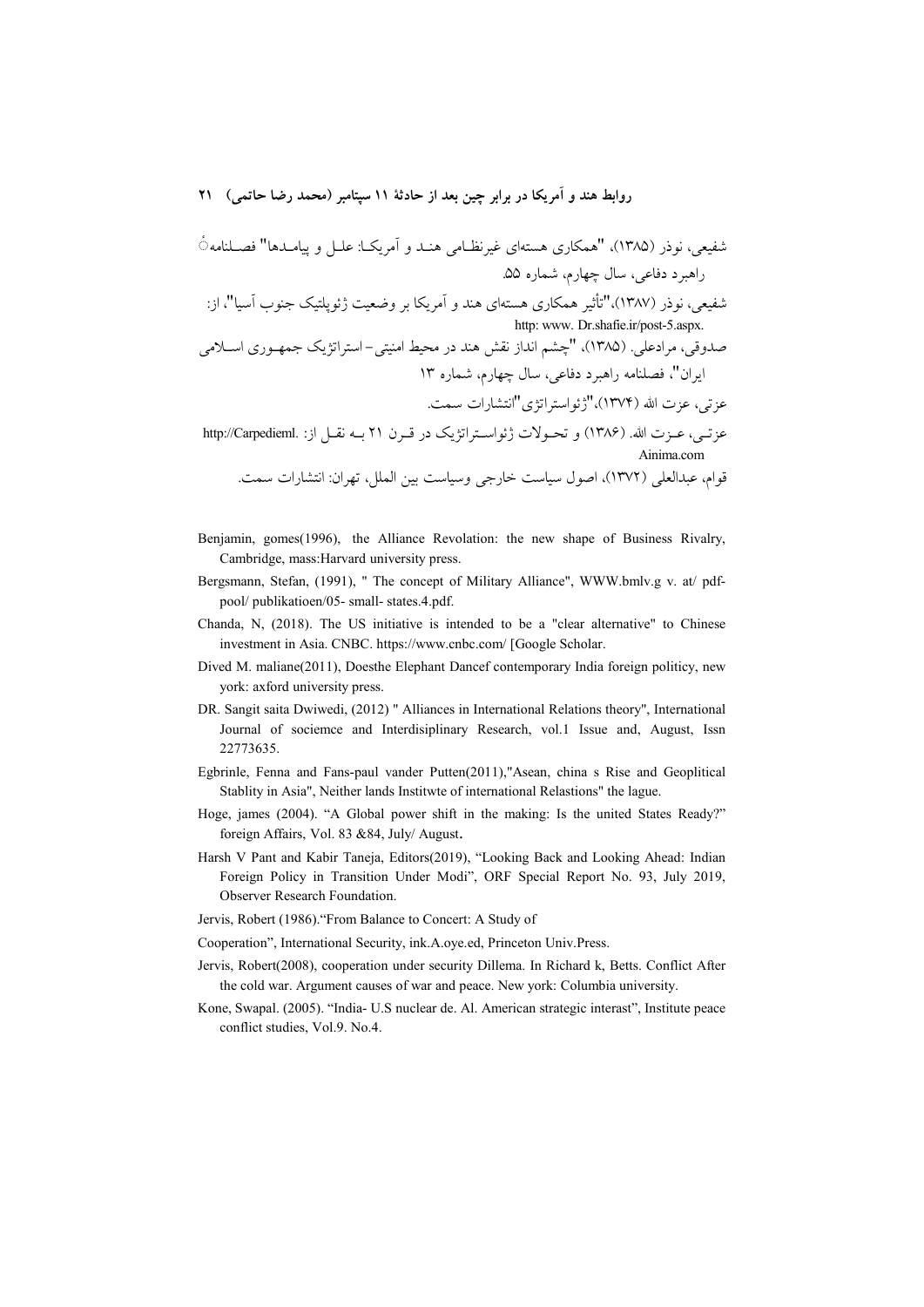- Benjamin, gomes (1996), the Alliance Revolation: the new shape of Business Rivalry, Cambridge, mass: Harvard university press.
- Bergsmann, Stefan, (1991), " The concept of Military Alliance", WWW.bmlv.g v. at/ pdfpool/publikatioen/05- small- states.4.pdf.
- Chanda, N. (2018). The US initiative is intended to be a "clear alternative" to Chinese investment in Asia. CNBC. https://www.cnbc.com/ [Google Scholar.
- Dived M. maliane(2011), Doesthe Elephant Dancef contemporary India foreign politicy, new york: axford university press.
- DR. Sangit saita Dwiwedi, (2012) " Alliances in International Relations theory", International Journal of sociemce and Interdisiplinary Research, vol.1 Issue and, August, Issn 22773635.
- Egbrinle, Fenna and Fans-paul vander Putten(2011),"Asean, china s Rise and Geoplitical Stablity in Asia", Neither lands Institute of international Relastions" the lague.
- Hoge, james (2004). "A Global power shift in the making: Is the united States Ready?" foreign Affairs, Vol. 83 & 84, July/ August.
- Harsh V Pant and Kabir Taneja, Editors(2019), "Looking Back and Looking Ahead: Indian Foreign Policy in Transition Under Modi", ORF Special Report No. 93, July 2019, Observer Research Foundation.
- Jervis, Robert (1986). "From Balance to Concert: A Study of
- Cooperation", International Security, ink.A.oye.ed, Princeton Univ.Press.
- Jervis, Robert(2008), cooperation under security Dillema. In Richard k, Betts. Conflict After the cold war. Argument causes of war and peace. New york: Columbia university.
- Kone, Swapal. (2005). "India- U.S nuclear de. Al. American strategic interast", Institute peace conflict studies, Vol.9. No.4.